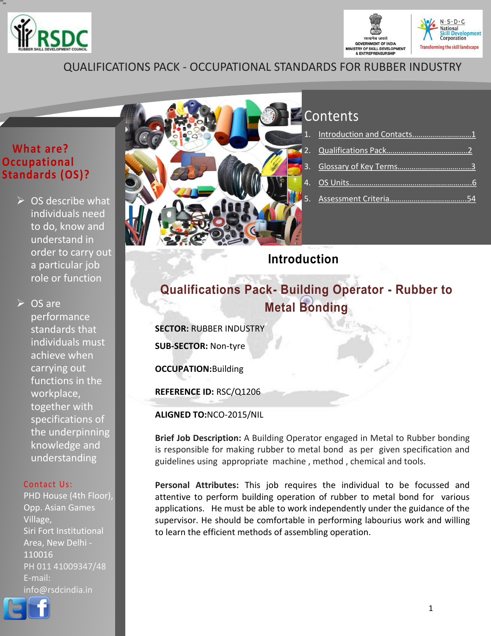



## QUALIFICATIONS PACK - OCCUPATIONAL STANDARDS FOR RUBBER INDUSTRY

## **What are? Occupational Standards (OS)?**

 $\triangleright$  OS describe what individuals need to do, know and understand in order to carry out a particular job role or function

**► OS are** performance standards that individuals must achieve when carrying out functions in the workplace, together with specifications of the underpinning knowledge and understanding

#### Contact Us:

PHD House (4th Floor), Opp. Asian Games Village, Siri Fort Institutional Area, New Delhi - 110016 PH 011 41009347/48 E-mail: info@rsdcindia.in





## Contents

## <span id="page-0-0"></span>**Introduction**

## **Qualifications Pack- Building Operator - Rubber to Metal Bonding**

**SECTOR:** RUBBER INDUSTRY

**SUB-SECTOR:** Non-tyre

**OCCUPATION:**Building

**REFERENCE ID:** RSC/Q1206

**ALIGNED TO:**NCO-2015/NIL

**Brief Job Description:** A Building Operator engaged in Metal to Rubber bonding is responsible for making rubber to metal bond as per given specification and guidelines using appropriate machine , method , chemical and tools.

**Personal Attributes:** This job requires the individual to be focussed and attentive to perform building operation of rubber to metal bond for various applications. He must be able to work independently under the guidance of the supervisor. He should be comfortable in performing labourius work and willing to learn the efficient methods of assembling operation.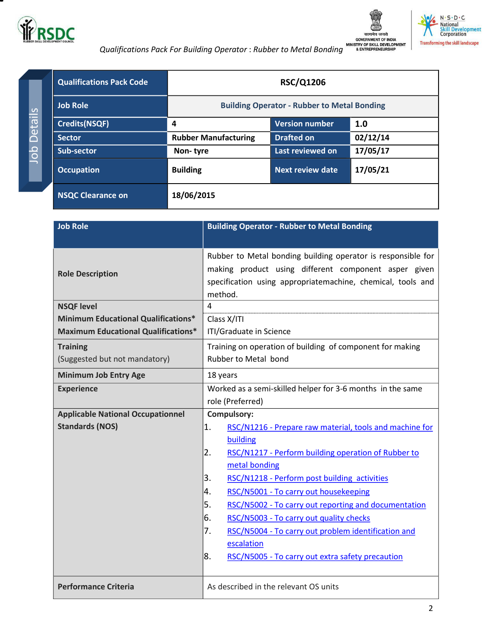<span id="page-1-0"></span>



N · S · D · C<br>National<br>Skill Development<br>Corporation



Job Details

Job Details

| <b>Qualifications Pack Code</b> |                                                    | <b>RSC/Q1206</b>        |          |
|---------------------------------|----------------------------------------------------|-------------------------|----------|
| <b>Job Role</b>                 | <b>Building Operator - Rubber to Metal Bonding</b> |                         |          |
| <b>Credits(NSQF)</b>            | 4                                                  | Version number          | 1.0      |
| <b>Sector</b>                   | <b>Rubber Manufacturing</b>                        | <b>Drafted on</b>       | 02/12/14 |
| <b>Sub-sector</b>               | Non-tyre                                           | Last reviewed on        | 17/05/17 |
| <b>Occupation</b>               | <b>Building</b>                                    | <b>Next review date</b> | 17/05/21 |
| <b>NSQC Clearance on</b>        | 18/06/2015                                         |                         |          |

| <b>Job Role</b>                            | <b>Building Operator - Rubber to Metal Bonding</b>            |  |
|--------------------------------------------|---------------------------------------------------------------|--|
|                                            |                                                               |  |
|                                            | Rubber to Metal bonding building operator is responsible for  |  |
| <b>Role Description</b>                    | making product using different component asper given          |  |
|                                            | specification using appropriatemachine, chemical, tools and   |  |
|                                            | method.                                                       |  |
| <b>NSQF level</b>                          | 4                                                             |  |
| <b>Minimum Educational Qualifications*</b> | Class X/ITI                                                   |  |
| <b>Maximum Educational Qualifications*</b> | ITI/Graduate in Science                                       |  |
| <b>Training</b>                            | Training on operation of building of component for making     |  |
| (Suggested but not mandatory)              | <b>Rubber to Metal bond</b>                                   |  |
| <b>Minimum Job Entry Age</b>               | 18 years                                                      |  |
| <b>Experience</b>                          | Worked as a semi-skilled helper for 3-6 months in the same    |  |
|                                            | role (Preferred)                                              |  |
| <b>Applicable National Occupationnel</b>   | <b>Compulsory:</b>                                            |  |
| <b>Standards (NOS)</b>                     | 1.<br>RSC/N1216 - Prepare raw material, tools and machine for |  |
|                                            | building                                                      |  |
|                                            | 2.<br>RSC/N1217 - Perform building operation of Rubber to     |  |
|                                            | metal bonding                                                 |  |
|                                            | 3.<br>RSC/N1218 - Perform post building activities            |  |
|                                            | RSC/N5001 - To carry out housekeeping<br>4.                   |  |
|                                            | 5.<br>RSC/N5002 - To carry out reporting and documentation    |  |
|                                            | 6.<br>RSC/N5003 - To carry out quality checks                 |  |
|                                            | 7.<br>RSC/N5004 - To carry out problem identification and     |  |
|                                            | escalation                                                    |  |
|                                            | 8.<br>RSC/N5005 - To carry out extra safety precaution        |  |
|                                            |                                                               |  |
| <b>Performance Criteria</b>                | As described in the relevant OS units                         |  |
|                                            |                                                               |  |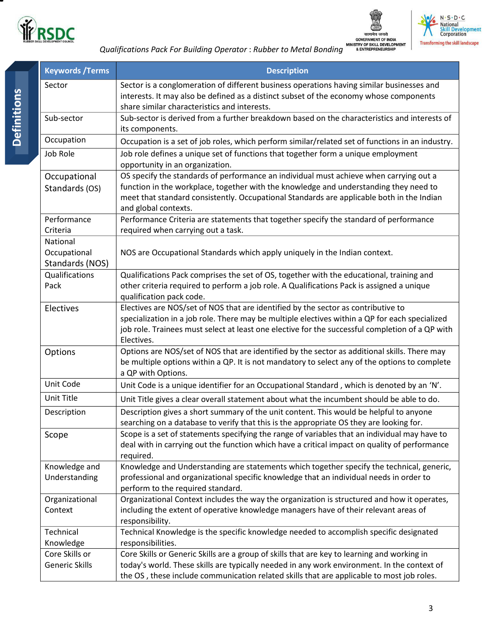





 *Qualifications Pack For Building Operator* : *Rubber to Metal Bonding*

<span id="page-2-0"></span>

| <b>Keywords / Terms</b>                     | <b>Description</b>                                                                                                                                                                                                                                                                                   |
|---------------------------------------------|------------------------------------------------------------------------------------------------------------------------------------------------------------------------------------------------------------------------------------------------------------------------------------------------------|
| Sector                                      | Sector is a conglomeration of different business operations having similar businesses and<br>interests. It may also be defined as a distinct subset of the economy whose components<br>share similar characteristics and interests.                                                                  |
| Sub-sector                                  | Sub-sector is derived from a further breakdown based on the characteristics and interests of<br>its components.                                                                                                                                                                                      |
| Occupation                                  | Occupation is a set of job roles, which perform similar/related set of functions in an industry.                                                                                                                                                                                                     |
| Job Role                                    | Job role defines a unique set of functions that together form a unique employment<br>opportunity in an organization.                                                                                                                                                                                 |
| Occupational<br>Standards (OS)              | OS specify the standards of performance an individual must achieve when carrying out a<br>function in the workplace, together with the knowledge and understanding they need to<br>meet that standard consistently. Occupational Standards are applicable both in the Indian<br>and global contexts. |
| Performance<br>Criteria                     | Performance Criteria are statements that together specify the standard of performance<br>required when carrying out a task.                                                                                                                                                                          |
| National<br>Occupational<br>Standards (NOS) | NOS are Occupational Standards which apply uniquely in the Indian context.                                                                                                                                                                                                                           |
| Qualifications<br>Pack                      | Qualifications Pack comprises the set of OS, together with the educational, training and<br>other criteria required to perform a job role. A Qualifications Pack is assigned a unique<br>qualification pack code.                                                                                    |
| Electives                                   | Electives are NOS/set of NOS that are identified by the sector as contributive to<br>specialization in a job role. There may be multiple electives within a QP for each specialized<br>job role. Trainees must select at least one elective for the successful completion of a QP with<br>Electives. |
| Options                                     | Options are NOS/set of NOS that are identified by the sector as additional skills. There may<br>be multiple options within a QP. It is not mandatory to select any of the options to complete<br>a QP with Options.                                                                                  |
| Unit Code                                   | Unit Code is a unique identifier for an Occupational Standard, which is denoted by an 'N'.                                                                                                                                                                                                           |
| Unit Title                                  | Unit Title gives a clear overall statement about what the incumbent should be able to do.                                                                                                                                                                                                            |
| Description                                 | Description gives a short summary of the unit content. This would be helpful to anyone<br>searching on a database to verify that this is the appropriate OS they are looking for.                                                                                                                    |
| Scope                                       | Scope is a set of statements specifying the range of variables that an individual may have to<br>deal with in carrying out the function which have a critical impact on quality of performance<br>required.                                                                                          |
| Knowledge and<br>Understanding              | Knowledge and Understanding are statements which together specify the technical, generic,<br>professional and organizational specific knowledge that an individual needs in order to<br>perform to the required standard.                                                                            |
| Organizational<br>Context                   | Organizational Context includes the way the organization is structured and how it operates,<br>including the extent of operative knowledge managers have of their relevant areas of<br>responsibility.                                                                                               |
| Technical<br>Knowledge                      | Technical Knowledge is the specific knowledge needed to accomplish specific designated<br>responsibilities.                                                                                                                                                                                          |
| Core Skills or<br><b>Generic Skills</b>     | Core Skills or Generic Skills are a group of skills that are key to learning and working in<br>today's world. These skills are typically needed in any work environment. In the context of<br>the OS, these include communication related skills that are applicable to most job roles.              |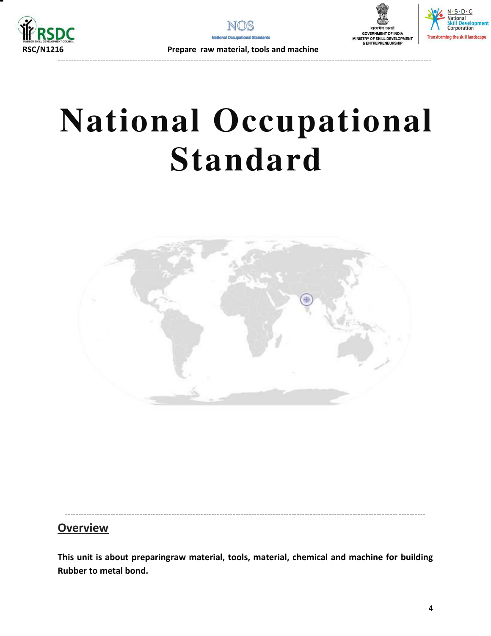







 **RSC/N1216 Prepare raw material, tools and machine** 

# **National Occupational Standard**

<span id="page-3-1"></span><span id="page-3-0"></span>

----------------------------------------------------------------------------------------------------------------------------- ----------

## **Overview**

**This unit is about preparingraw material, tools, material, chemical and machine for building Rubber to metal bond.**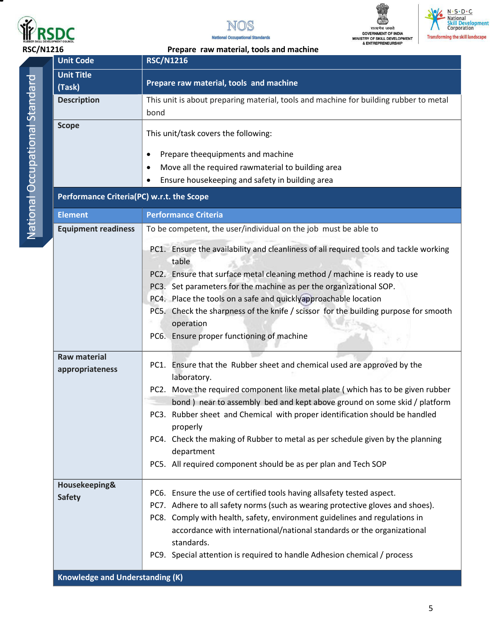

▀







**RSC/N1216** Prepare raw material, tools and machine<br> **RSC/N1216** 

| Ï |
|---|
|   |
|   |
| í |
|   |
| ì |
|   |
|   |
|   |
|   |
|   |
|   |
|   |
|   |
|   |
| l |
|   |
| I |
|   |
|   |
|   |
|   |
|   |

| <b>Unit Code</b>                          | <b>RSC/N1216</b>                                                                                                                                                                                                                                                                                                                                                                                                                                                                                                                                                                                                                                  |
|-------------------------------------------|---------------------------------------------------------------------------------------------------------------------------------------------------------------------------------------------------------------------------------------------------------------------------------------------------------------------------------------------------------------------------------------------------------------------------------------------------------------------------------------------------------------------------------------------------------------------------------------------------------------------------------------------------|
| <b>Unit Title</b>                         |                                                                                                                                                                                                                                                                                                                                                                                                                                                                                                                                                                                                                                                   |
| (Task)                                    | Prepare raw material, tools and machine                                                                                                                                                                                                                                                                                                                                                                                                                                                                                                                                                                                                           |
| <b>Description</b>                        | This unit is about preparing material, tools and machine for building rubber to metal<br>bond                                                                                                                                                                                                                                                                                                                                                                                                                                                                                                                                                     |
| <b>Scope</b>                              | This unit/task covers the following:<br>Prepare theequipments and machine<br>٠<br>Move all the required rawmaterial to building area<br>٠<br>Ensure housekeeping and safety in building area                                                                                                                                                                                                                                                                                                                                                                                                                                                      |
| Performance Criteria(PC) w.r.t. the Scope |                                                                                                                                                                                                                                                                                                                                                                                                                                                                                                                                                                                                                                                   |
| <b>Element</b>                            | <b>Performance Criteria</b>                                                                                                                                                                                                                                                                                                                                                                                                                                                                                                                                                                                                                       |
| <b>Equipment readiness</b>                | To be competent, the user/individual on the job must be able to                                                                                                                                                                                                                                                                                                                                                                                                                                                                                                                                                                                   |
| <b>Raw material</b><br>appropriateness    | PC1. Ensure the availability and cleanliness of all required tools and tackle working<br>table<br>PC2. Ensure that surface metal cleaning method / machine is ready to use<br>PC3. Set parameters for the machine as per the organizational SOP.<br>PC4. Place the tools on a safe and quicklyapproachable location<br>PC5. Check the sharpness of the knife / scissor for the building purpose for smooth<br>operation<br>PC6. Ensure proper functioning of machine<br>PC1. Ensure that the Rubber sheet and chemical used are approved by the<br>laboratory.<br>PC2. Move the required component like metal plate (which has to be given rubber |
|                                           | bond) near to assembly bed and kept above ground on some skid / platform<br>PC3. Rubber sheet and Chemical with proper identification should be handled<br>properly<br>PC4. Check the making of Rubber to metal as per schedule given by the planning<br>department<br>PC5. All required component should be as per plan and Tech SOP                                                                                                                                                                                                                                                                                                             |
| Housekeeping&<br><b>Safety</b>            | PC6. Ensure the use of certified tools having allsafety tested aspect.<br>PC7. Adhere to all safety norms (such as wearing protective gloves and shoes).<br>PC8. Comply with health, safety, environment guidelines and regulations in<br>accordance with international/national standards or the organizational<br>standards.<br>PC9. Special attention is required to handle Adhesion chemical / process                                                                                                                                                                                                                                        |
| <b>Knowledge and Understanding (K)</b>    |                                                                                                                                                                                                                                                                                                                                                                                                                                                                                                                                                                                                                                                   |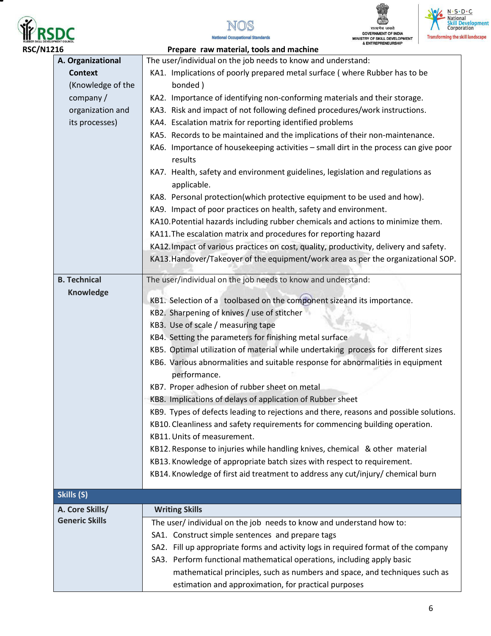







 **RSC/N1216 Prepare raw material, tools and machine A. Organizational Context**  (Knowledge of the company / organization and its processes) The user/individual on the job needs to know and understand: KA1. Implications of poorly prepared metal surface ( where Rubber has to be bonded ) KA2. Importance of identifying non-conforming materials and their storage. KA3. Risk and impact of not following defined procedures/work instructions. KA4. Escalation matrix for reporting identified problems KA5. Records to be maintained and the implications of their non-maintenance. KA6. Importance of housekeeping activities – small dirt in the process can give poor results KA7. Health, safety and environment guidelines, legislation and regulations as applicable. KA8. Personal protection(which protective equipment to be used and how). KA9. Impact of poor practices on health, safety and environment. KA10.Potential hazards including rubber chemicals and actions to minimize them. KA11.The escalation matrix and procedures for reporting hazard KA12.Impact of various practices on cost, quality, productivity, delivery and safety. KA13.Handover/Takeover of the equipment/work area as per the organizational SOP. **B. Technical Knowledge**  The user/individual on the job needs to know and understand: KB1. Selection of a toolbased on the component sizeand its importance. KB2. Sharpening of knives / use of stitcher KB3. Use of scale / measuring tape KB4. Setting the parameters for finishing metal surface KB5. Optimal utilization of material while undertaking process for different sizes KB6. Various abnormalities and suitable response for abnormalities in equipment performance. KB7. Proper adhesion of rubber sheet on metal KB8. Implications of delays of application of Rubber sheet KB9. Types of defects leading to rejections and there, reasons and possible solutions. KB10. Cleanliness and safety requirements for commencing building operation. KB11.Units of measurement. KB12. Response to injuries while handling knives, chemical & other material KB13. Knowledge of appropriate batch sizes with respect to requirement. KB14. Knowledge of first aid treatment to address any cut/injury/ chemical burn **Skills (S) A. Core Skills/ Generic Skills Writing Skills**  The user/ individual on the job needs to know and understand how to: SA1. Construct simple sentences and prepare tags SA2. Fill up appropriate forms and activity logs in required format of the company SA3. Perform functional mathematical operations, including apply basic mathematical principles, such as numbers and space, and techniques such as estimation and approximation, for practical purposes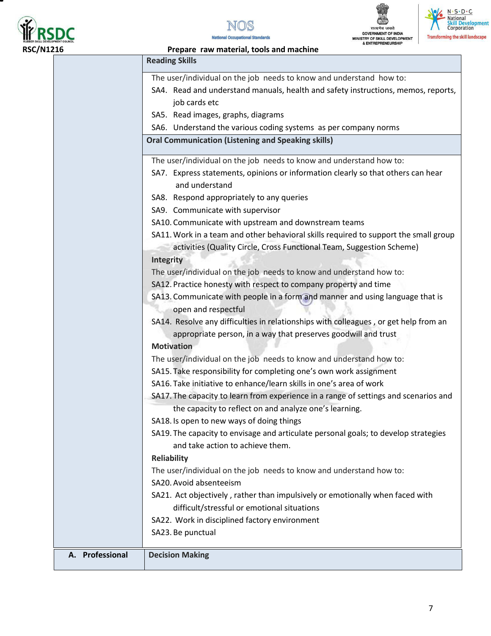







| OUNCIL          | & ENTREPRENEURSHIP<br>Prepare raw material, tools and machine                                                           |
|-----------------|-------------------------------------------------------------------------------------------------------------------------|
|                 | <b>Reading Skills</b>                                                                                                   |
|                 | The user/individual on the job needs to know and understand how to:                                                     |
|                 | SA4. Read and understand manuals, health and safety instructions, memos, reports,                                       |
|                 | job cards etc                                                                                                           |
|                 | SA5. Read images, graphs, diagrams                                                                                      |
|                 | SA6. Understand the various coding systems as per company norms                                                         |
|                 | <b>Oral Communication (Listening and Speaking skills)</b>                                                               |
|                 | The user/individual on the job needs to know and understand how to:                                                     |
|                 | SA7. Express statements, opinions or information clearly so that others can hear<br>and understand                      |
|                 | SA8. Respond appropriately to any queries                                                                               |
|                 | SA9. Communicate with supervisor                                                                                        |
|                 | SA10. Communicate with upstream and downstream teams                                                                    |
|                 | SA11. Work in a team and other behavioral skills required to support the small group                                    |
|                 | activities (Quality Circle, Cross Functional Team, Suggestion Scheme)                                                   |
|                 | Integrity                                                                                                               |
|                 | The user/individual on the job needs to know and understand how to:                                                     |
|                 | SA12. Practice honesty with respect to company property and time                                                        |
|                 | SA13. Communicate with people in a form and manner and using language that is                                           |
|                 | open and respectful                                                                                                     |
|                 | SA14. Resolve any difficulties in relationships with colleagues, or get help from an                                    |
|                 | appropriate person, in a way that preserves goodwill and trust                                                          |
|                 | <b>Motivation</b>                                                                                                       |
|                 | The user/individual on the job needs to know and understand how to:                                                     |
|                 | SA15. Take responsibility for completing one's own work assignment                                                      |
|                 | SA16. Take initiative to enhance/learn skills in one's area of work                                                     |
|                 | SA17. The capacity to learn from experience in a range of settings and scenarios and                                    |
|                 | the capacity to reflect on and analyze one's learning.                                                                  |
|                 | SA18. Is open to new ways of doing things                                                                               |
|                 | SA19. The capacity to envisage and articulate personal goals; to develop strategies<br>and take action to achieve them. |
|                 | <b>Reliability</b>                                                                                                      |
|                 | The user/individual on the job needs to know and understand how to:                                                     |
|                 | SA20. Avoid absenteeism                                                                                                 |
|                 | SA21. Act objectively, rather than impulsively or emotionally when faced with                                           |
|                 | difficult/stressful or emotional situations                                                                             |
|                 | SA22. Work in disciplined factory environment                                                                           |
|                 | SA23. Be punctual                                                                                                       |
| A. Professional | <b>Decision Making</b>                                                                                                  |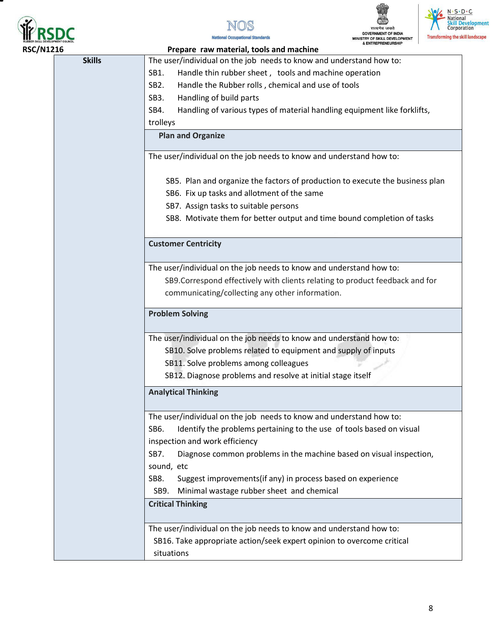







| <b>RSC/N1216</b> |               | Prepare raw material, tools and machine                                          |
|------------------|---------------|----------------------------------------------------------------------------------|
|                  | <b>Skills</b> | The user/individual on the job needs to know and understand how to:              |
|                  |               | Handle thin rubber sheet, tools and machine operation<br>SB1.                    |
|                  |               | SB <sub>2</sub> .<br>Handle the Rubber rolls, chemical and use of tools          |
|                  |               | SB3.<br>Handling of build parts                                                  |
|                  |               | SB4.<br>Handling of various types of material handling equipment like forklifts, |
|                  |               | trolleys                                                                         |
|                  |               | <b>Plan and Organize</b>                                                         |
|                  |               | The user/individual on the job needs to know and understand how to:              |
|                  |               | SB5. Plan and organize the factors of production to execute the business plan    |
|                  |               | SB6. Fix up tasks and allotment of the same                                      |
|                  |               | SB7. Assign tasks to suitable persons                                            |
|                  |               | SB8. Motivate them for better output and time bound completion of tasks          |
|                  |               | <b>Customer Centricity</b>                                                       |
|                  |               | The user/individual on the job needs to know and understand how to:              |
|                  |               | SB9. Correspond effectively with clients relating to product feedback and for    |
|                  |               | communicating/collecting any other information.                                  |
|                  |               |                                                                                  |
|                  |               | <b>Problem Solving</b>                                                           |
|                  |               | The user/individual on the job needs to know and understand how to:              |
|                  |               | SB10. Solve problems related to equipment and supply of inputs                   |
|                  |               | SB11. Solve problems among colleagues                                            |
|                  |               | SB12. Diagnose problems and resolve at initial stage itself                      |
|                  |               | <b>Analytical Thinking</b>                                                       |
|                  |               | The user/individual on the job needs to know and understand how to:              |
|                  |               | SB6.<br>Identify the problems pertaining to the use of tools based on visual     |
|                  |               | inspection and work efficiency                                                   |
|                  |               | SB7.<br>Diagnose common problems in the machine based on visual inspection,      |
|                  |               | sound, etc                                                                       |
|                  |               | Suggest improvements(if any) in process based on experience<br>SB8.              |
|                  |               | SB9.<br>Minimal wastage rubber sheet and chemical                                |
|                  |               | <b>Critical Thinking</b>                                                         |
|                  |               | The user/individual on the job needs to know and understand how to:              |
|                  |               | SB16. Take appropriate action/seek expert opinion to overcome critical           |
|                  |               | situations                                                                       |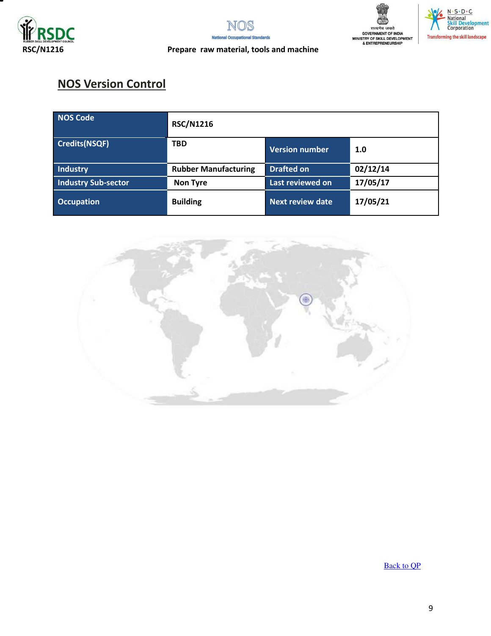







### **RSC/N1216 Prepare raw material, tools and machine**

## **NOS Version Control**

| NOS Code                   | <b>RSC/N1216</b>            |                         |          |
|----------------------------|-----------------------------|-------------------------|----------|
| Credits(NSQF)              | <b>TBD</b>                  | <b>Version number</b>   | 1.0      |
| Industry                   | <b>Rubber Manufacturing</b> | <b>Drafted on</b>       | 02/12/14 |
| <b>Industry Sub-sector</b> | <b>Non Tyre</b>             | Last reviewed on        | 17/05/17 |
| <b>Occupation</b>          | <b>Building</b>             | <b>Next review date</b> | 17/05/21 |



[Back to QP](#page-1-0)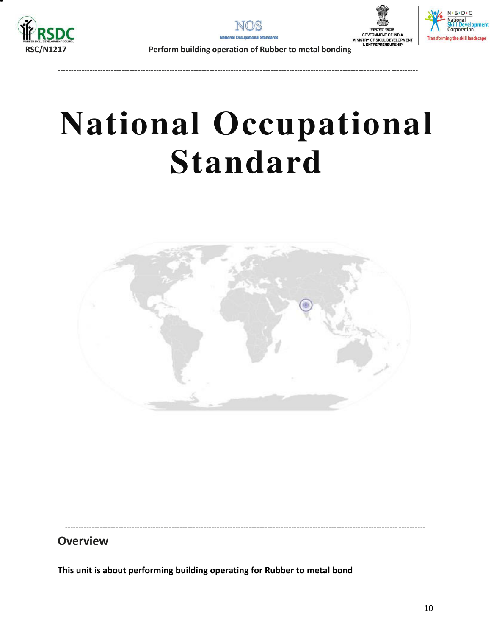







**RSC/N1217 Perform building operation of Rubber to metal bonding**

----------------------------------------------------------------------------------------------------------------------------- ----------

# **National Occupational Standard**

<span id="page-9-0"></span>

----------------------------------------------------------------------------------------------------------------------------- ----------

## **Overview**

**This unit is about performing building operating for Rubber to metal bond**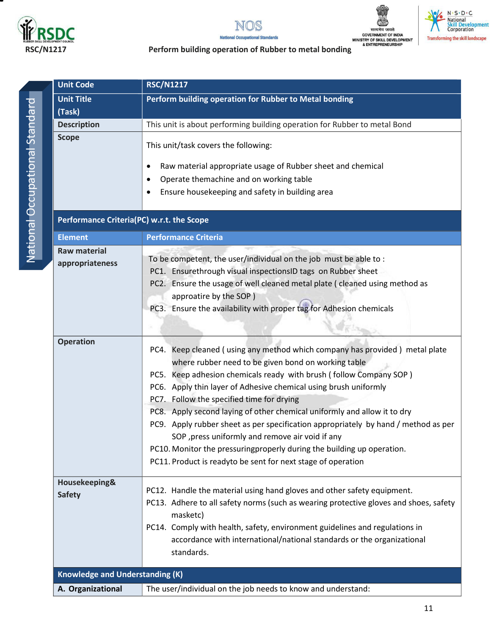

▀





### N · S · D · C<br>· National<br>Skill Development<br>Corporation  $M$ **Transforming the skill landscape**

|   | ï |
|---|---|
|   |   |
|   |   |
|   |   |
|   |   |
|   |   |
|   |   |
|   |   |
|   | I |
|   |   |
|   |   |
|   |   |
|   |   |
|   |   |
|   |   |
|   |   |
| Ï | ١ |
|   |   |
|   |   |
|   |   |
|   |   |
|   |   |
|   |   |
|   |   |

| <b>Unit Code</b>                          | <b>RSC/N1217</b>                                                                                                                                                                                                                                                                                                                                                                                                                                                                                                                                                                                                                                                                         |  |  |
|-------------------------------------------|------------------------------------------------------------------------------------------------------------------------------------------------------------------------------------------------------------------------------------------------------------------------------------------------------------------------------------------------------------------------------------------------------------------------------------------------------------------------------------------------------------------------------------------------------------------------------------------------------------------------------------------------------------------------------------------|--|--|
| <b>Unit Title</b>                         | Perform building operation for Rubber to Metal bonding                                                                                                                                                                                                                                                                                                                                                                                                                                                                                                                                                                                                                                   |  |  |
| (Task)                                    |                                                                                                                                                                                                                                                                                                                                                                                                                                                                                                                                                                                                                                                                                          |  |  |
| <b>Description</b>                        | This unit is about performing building operation for Rubber to metal Bond                                                                                                                                                                                                                                                                                                                                                                                                                                                                                                                                                                                                                |  |  |
| <b>Scope</b>                              | This unit/task covers the following:<br>Raw material appropriate usage of Rubber sheet and chemical<br>$\bullet$<br>Operate themachine and on working table<br>$\bullet$<br>Ensure housekeeping and safety in building area                                                                                                                                                                                                                                                                                                                                                                                                                                                              |  |  |
| Performance Criteria(PC) w.r.t. the Scope |                                                                                                                                                                                                                                                                                                                                                                                                                                                                                                                                                                                                                                                                                          |  |  |
| <b>Element</b>                            | <b>Performance Criteria</b>                                                                                                                                                                                                                                                                                                                                                                                                                                                                                                                                                                                                                                                              |  |  |
| <b>Raw material</b><br>appropriateness    | To be competent, the user/individual on the job must be able to:<br>PC1. Ensurethrough visual inspectionsID tags on Rubber sheet<br>PC2. Ensure the usage of well cleaned metal plate (cleaned using method as<br>approatire by the SOP)<br>PC3. Ensure the availability with proper tag for Adhesion chemicals                                                                                                                                                                                                                                                                                                                                                                          |  |  |
| <b>Operation</b>                          | PC4. Keep cleaned (using any method which company has provided) metal plate<br>where rubber need to be given bond on working table<br>PC5. Keep adhesion chemicals ready with brush (follow Company SOP)<br>PC6. Apply thin layer of Adhesive chemical using brush uniformly<br>PC7. Follow the specified time for drying<br>PC8. Apply second laying of other chemical uniformly and allow it to dry<br>PC9. Apply rubber sheet as per specification appropriately by hand / method as per<br>SOP, press uniformly and remove air void if any<br>PC10. Monitor the pressuringproperly during the building up operation.<br>PC11. Product is readyto be sent for next stage of operation |  |  |
| Housekeeping&<br><b>Safety</b>            | PC12. Handle the material using hand gloves and other safety equipment.<br>PC13. Adhere to all safety norms (such as wearing protective gloves and shoes, safety<br>masketc)<br>PC14. Comply with health, safety, environment guidelines and regulations in<br>accordance with international/national standards or the organizational<br>standards.                                                                                                                                                                                                                                                                                                                                      |  |  |
| <b>Knowledge and Understanding (K)</b>    |                                                                                                                                                                                                                                                                                                                                                                                                                                                                                                                                                                                                                                                                                          |  |  |
| A. Organizational                         | The user/individual on the job needs to know and understand:                                                                                                                                                                                                                                                                                                                                                                                                                                                                                                                                                                                                                             |  |  |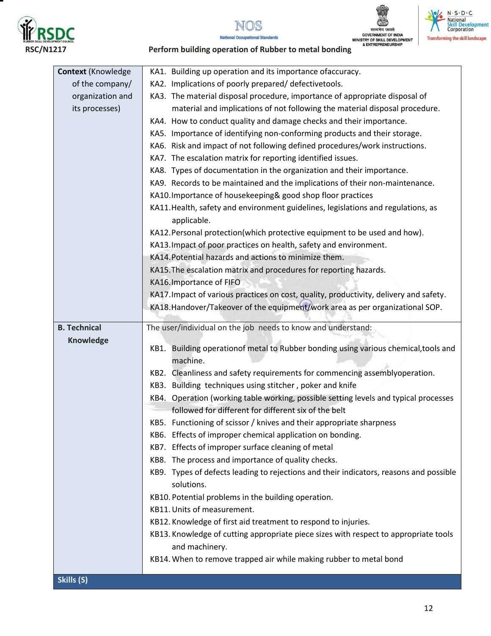

Ξ







| <b>Context (Knowledge</b> | KA1. Building up operation and its importance ofaccuracy.                              |  |  |
|---------------------------|----------------------------------------------------------------------------------------|--|--|
| of the company/           | KA2. Implications of poorly prepared/ defectivetools.                                  |  |  |
| organization and          | KA3. The material disposal procedure, importance of appropriate disposal of            |  |  |
| its processes)            | material and implications of not following the material disposal procedure.            |  |  |
|                           | KA4. How to conduct quality and damage checks and their importance.                    |  |  |
|                           | KA5. Importance of identifying non-conforming products and their storage.              |  |  |
|                           | KA6. Risk and impact of not following defined procedures/work instructions.            |  |  |
|                           | KA7. The escalation matrix for reporting identified issues.                            |  |  |
|                           | KA8. Types of documentation in the organization and their importance.                  |  |  |
|                           | KA9. Records to be maintained and the implications of their non-maintenance.           |  |  |
|                           | KA10. Importance of housekeeping& good shop floor practices                            |  |  |
|                           | KA11. Health, safety and environment guidelines, legislations and regulations, as      |  |  |
|                           | applicable.                                                                            |  |  |
|                           | KA12. Personal protection(which protective equipment to be used and how).              |  |  |
|                           | KA13. Impact of poor practices on health, safety and environment.                      |  |  |
|                           | KA14. Potential hazards and actions to minimize them.                                  |  |  |
|                           | KA15. The escalation matrix and procedures for reporting hazards.                      |  |  |
|                           | KA16. Importance of FIFO                                                               |  |  |
|                           | KA17. Impact of various practices on cost, quality, productivity, delivery and safety. |  |  |
|                           | KA18.Handover/Takeover of the equipment/work area as per organizational SOP.           |  |  |
|                           |                                                                                        |  |  |
| <b>B. Technical</b>       | The user/individual on the job needs to know and understand:                           |  |  |
| <b>Knowledge</b>          | KB1. Building operationof metal to Rubber bonding using various chemical, tools and    |  |  |
|                           | machine.                                                                               |  |  |
|                           | KB2. Cleanliness and safety requirements for commencing assemblyoperation.             |  |  |
|                           | KB3. Building techniques using stitcher, poker and knife                               |  |  |
|                           | KB4. Operation (working table working, possible setting levels and typical processes   |  |  |
|                           | followed for different for different six of the belt                                   |  |  |
|                           | KB5. Functioning of scissor / knives and their appropriate sharpness                   |  |  |
|                           | KB6. Effects of improper chemical application on bonding.                              |  |  |
|                           | KB7. Effects of improper surface cleaning of metal                                     |  |  |
|                           | KB8. The process and importance of quality checks.                                     |  |  |
|                           | KB9. Types of defects leading to rejections and their indicators, reasons and possible |  |  |
|                           | solutions.                                                                             |  |  |
|                           | KB10. Potential problems in the building operation.                                    |  |  |
|                           | KB11. Units of measurement.                                                            |  |  |
|                           | KB12. Knowledge of first aid treatment to respond to injuries.                         |  |  |
|                           | KB13. Knowledge of cutting appropriate piece sizes with respect to appropriate tools   |  |  |
|                           | and machinery.                                                                         |  |  |
|                           | KB14. When to remove trapped air while making rubber to metal bond                     |  |  |
| Skills (S)                |                                                                                        |  |  |
|                           |                                                                                        |  |  |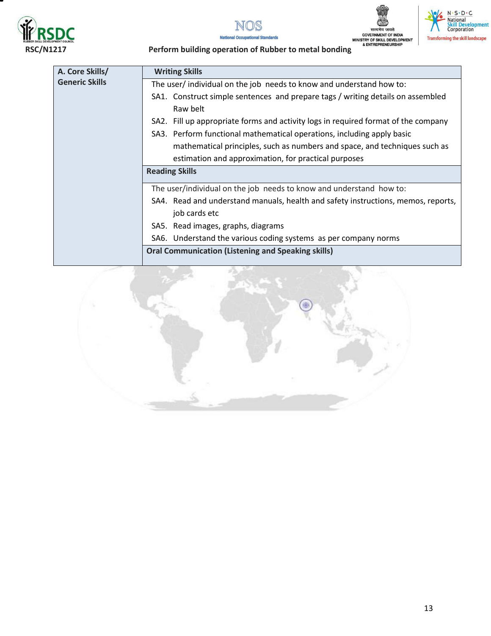



N · S · D · C<br>National<br>Skill Development<br>Corporation

**Transforming the skill landscape** 



| A. Core Skills/       | <b>Writing Skills</b>                                                              |  |
|-----------------------|------------------------------------------------------------------------------------|--|
| <b>Generic Skills</b> | The user/ individual on the job needs to know and understand how to:               |  |
|                       | SA1. Construct simple sentences and prepare tags / writing details on assembled    |  |
|                       | Raw belt                                                                           |  |
|                       | SA2. Fill up appropriate forms and activity logs in required format of the company |  |
|                       | SA3. Perform functional mathematical operations, including apply basic             |  |
|                       | mathematical principles, such as numbers and space, and techniques such as         |  |
|                       | estimation and approximation, for practical purposes                               |  |
|                       | <b>Reading Skills</b>                                                              |  |
|                       | The user/individual on the job needs to know and understand how to:                |  |
|                       | SA4. Read and understand manuals, health and safety instructions, memos, reports,  |  |
|                       | job cards etc                                                                      |  |
|                       | SA5. Read images, graphs, diagrams                                                 |  |
|                       | SA6. Understand the various coding systems as per company norms                    |  |
|                       | <b>Oral Communication (Listening and Speaking skills)</b>                          |  |

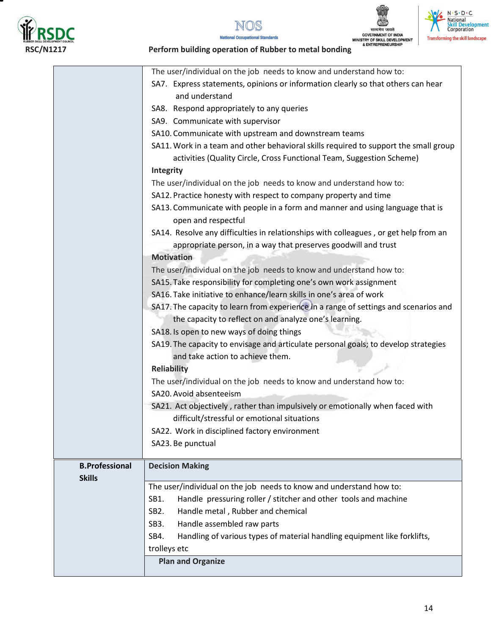







## **RSDC**<br> **RSC/N1217**<br>
Perform building operation of Rubber to metal bonding<br>
Perform building operation of Rubber to metal bonding<br>
Perform building operation of Rubber to metal bonding

|                       | The user/individual on the job needs to know and understand how to:<br>SA7. Express statements, opinions or information clearly so that others can hear<br>and understand |
|-----------------------|---------------------------------------------------------------------------------------------------------------------------------------------------------------------------|
|                       | SA8. Respond appropriately to any queries                                                                                                                                 |
|                       | SA9. Communicate with supervisor                                                                                                                                          |
|                       | SA10. Communicate with upstream and downstream teams                                                                                                                      |
|                       | SA11. Work in a team and other behavioral skills required to support the small group                                                                                      |
|                       | activities (Quality Circle, Cross Functional Team, Suggestion Scheme)                                                                                                     |
|                       | Integrity                                                                                                                                                                 |
|                       | The user/individual on the job needs to know and understand how to:                                                                                                       |
|                       | SA12. Practice honesty with respect to company property and time                                                                                                          |
|                       | SA13. Communicate with people in a form and manner and using language that is<br>open and respectful                                                                      |
|                       | SA14. Resolve any difficulties in relationships with colleagues, or get help from an<br>appropriate person, in a way that preserves goodwill and trust                    |
|                       | <b>Motivation</b>                                                                                                                                                         |
|                       | The user/individual on the job needs to know and understand how to:                                                                                                       |
|                       | SA15. Take responsibility for completing one's own work assignment                                                                                                        |
|                       | SA16. Take initiative to enhance/learn skills in one's area of work                                                                                                       |
|                       | SA17. The capacity to learn from experience in a range of settings and scenarios and                                                                                      |
|                       | the capacity to reflect on and analyze one's learning.                                                                                                                    |
|                       | SA18. Is open to new ways of doing things                                                                                                                                 |
|                       | SA19. The capacity to envisage and articulate personal goals; to develop strategies<br>and take action to achieve them.                                                   |
|                       | <b>Reliability</b>                                                                                                                                                        |
|                       | The user/individual on the job needs to know and understand how to:                                                                                                       |
|                       | SA20. Avoid absenteeism                                                                                                                                                   |
|                       | SA21. Act objectively, rather than impulsively or emotionally when faced with                                                                                             |
|                       | difficult/stressful or emotional situations                                                                                                                               |
|                       | SA22. Work in disciplined factory environment                                                                                                                             |
|                       | SA23. Be punctual                                                                                                                                                         |
| <b>B.Professional</b> | <b>Decision Making</b>                                                                                                                                                    |
| <b>Skills</b>         |                                                                                                                                                                           |
|                       | The user/individual on the job needs to know and understand how to:                                                                                                       |
|                       | Handle pressuring roller / stitcher and other tools and machine<br>SB1.                                                                                                   |
|                       | Handle metal, Rubber and chemical<br>SB <sub>2</sub> .                                                                                                                    |
|                       | Handle assembled raw parts<br>SB3.                                                                                                                                        |
|                       | Handling of various types of material handling equipment like forklifts,<br>SB4.                                                                                          |
|                       | trolleys etc                                                                                                                                                              |
|                       | <b>Plan and Organize</b>                                                                                                                                                  |
|                       |                                                                                                                                                                           |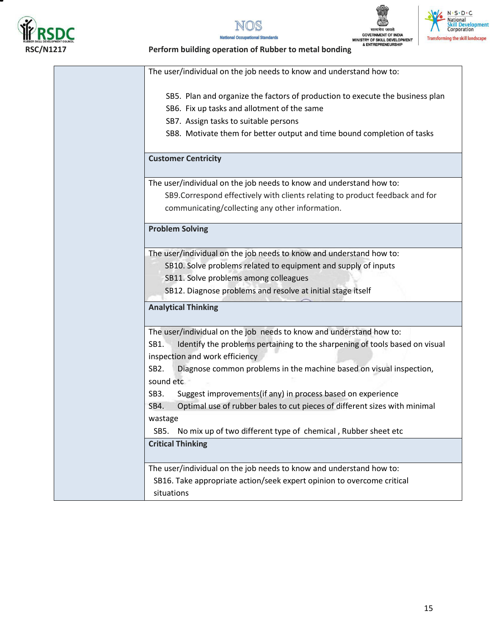

т







|                   | The user/individual on the job needs to know and understand how to:           |
|-------------------|-------------------------------------------------------------------------------|
|                   | SB5. Plan and organize the factors of production to execute the business plan |
|                   | SB6. Fix up tasks and allotment of the same                                   |
|                   | SB7. Assign tasks to suitable persons                                         |
|                   | SB8. Motivate them for better output and time bound completion of tasks       |
|                   |                                                                               |
|                   | <b>Customer Centricity</b>                                                    |
|                   | The user/individual on the job needs to know and understand how to:           |
|                   | SB9. Correspond effectively with clients relating to product feedback and for |
|                   | communicating/collecting any other information.                               |
|                   | <b>Problem Solving</b>                                                        |
|                   |                                                                               |
|                   | The user/individual on the job needs to know and understand how to:           |
|                   | SB10. Solve problems related to equipment and supply of inputs                |
|                   | SB11. Solve problems among colleagues                                         |
|                   | SB12. Diagnose problems and resolve at initial stage itself                   |
|                   | <b>Analytical Thinking</b>                                                    |
|                   | The user/individual on the job needs to know and understand how to:           |
| SB1.              | Identify the problems pertaining to the sharpening of tools based on visual   |
|                   | inspection and work efficiency                                                |
| SB <sub>2</sub> . | Diagnose common problems in the machine based on visual inspection,           |
| sound etc         |                                                                               |
| SB <sub>3</sub> . | Suggest improvements(if any) in process based on experience                   |
| SB4.              | Optimal use of rubber bales to cut pieces of different sizes with minimal     |
| wastage           |                                                                               |
| SB5.              | No mix up of two different type of chemical, Rubber sheet etc                 |
|                   | <b>Critical Thinking</b>                                                      |
|                   |                                                                               |
|                   | The user/individual on the job needs to know and understand how to:           |
|                   | SB16. Take appropriate action/seek expert opinion to overcome critical        |
|                   | situations                                                                    |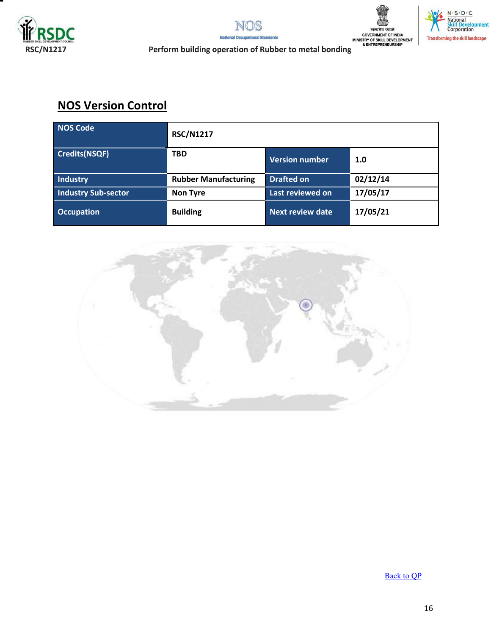







**RSC/N1217**<br> **RSC/N1217**<br>
Perform building operation of Rubber to metal bonding<br>
Perform building operation of Rubber to metal bonding

## **NOS Version Control**

| <b>NOS Code</b>            | <b>RSC/N1217</b>            |                       |          |
|----------------------------|-----------------------------|-----------------------|----------|
| <b>Credits(NSQF)</b>       | <b>TBD</b>                  | <b>Version number</b> | 1.0      |
| <b>Industry</b>            | <b>Rubber Manufacturing</b> | <b>Drafted on</b>     | 02/12/14 |
| <b>Industry Sub-sector</b> | <b>Non Tyre</b>             | Last reviewed on      | 17/05/17 |
| <b>Occupation</b>          | <b>Building</b>             | Next review date      | 17/05/21 |



[Back to QP](#page-1-0)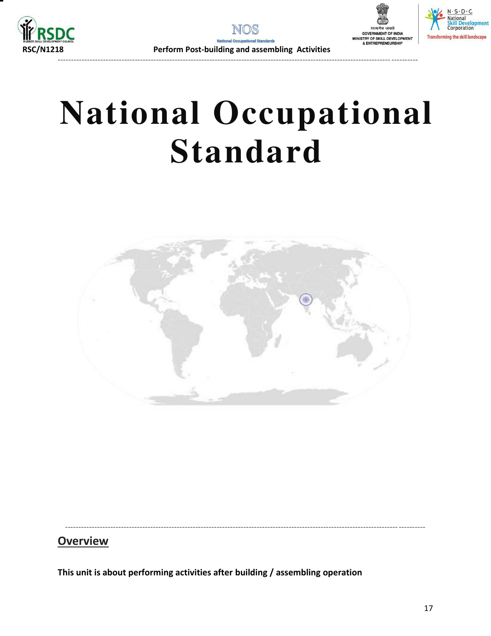





## **National Occupational Standard**

<span id="page-16-0"></span>

----------------------------------------------------------------------------------------------------------------------------- ----------

## **Overview**

**This unit is about performing activities after building / assembling operation**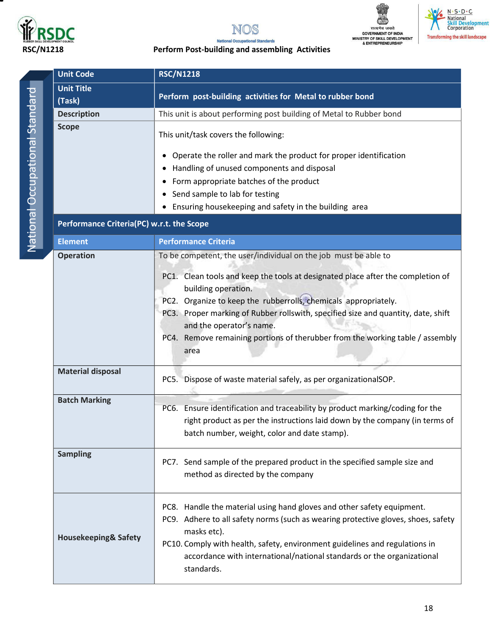





## N · S · D · C<br>• National<br>Skill Development<br>Corporation  $\frac{1}{2}$ **Transforming the skill landscape**

#### **RSC/N1218 Perform Post-building and assembling Activities**

|                                | <b>Unit Code</b>                          | <b>RSC/N1218</b>                                                                                                                                                                                                                                                                                                                                                                                                                                       |  |  |
|--------------------------------|-------------------------------------------|--------------------------------------------------------------------------------------------------------------------------------------------------------------------------------------------------------------------------------------------------------------------------------------------------------------------------------------------------------------------------------------------------------------------------------------------------------|--|--|
| National Occupational Standard | <b>Unit Title</b><br>(Task)               | Perform post-building activities for Metal to rubber bond                                                                                                                                                                                                                                                                                                                                                                                              |  |  |
|                                | <b>Description</b>                        | This unit is about performing post building of Metal to Rubber bond                                                                                                                                                                                                                                                                                                                                                                                    |  |  |
|                                | <b>Scope</b>                              | This unit/task covers the following:<br>Operate the roller and mark the product for proper identification<br>Handling of unused components and disposal<br>Form appropriate batches of the product<br>Send sample to lab for testing<br>Ensuring housekeeping and safety in the building area                                                                                                                                                          |  |  |
|                                | Performance Criteria(PC) w.r.t. the Scope |                                                                                                                                                                                                                                                                                                                                                                                                                                                        |  |  |
|                                | <b>Element</b>                            | <b>Performance Criteria</b>                                                                                                                                                                                                                                                                                                                                                                                                                            |  |  |
|                                | <b>Operation</b>                          | To be competent, the user/individual on the job must be able to<br>PC1. Clean tools and keep the tools at designated place after the completion of<br>building operation.<br>PC2. Organize to keep the rubberrolls, chemicals appropriately.<br>PC3. Proper marking of Rubber rollswith, specified size and quantity, date, shift<br>and the operator's name.<br>PC4. Remove remaining portions of therubber from the working table / assembly<br>area |  |  |
|                                | <b>Material disposal</b>                  | PC5. Dispose of waste material safely, as per organizationalSOP.                                                                                                                                                                                                                                                                                                                                                                                       |  |  |
|                                | <b>Batch Marking</b>                      | PC6. Ensure identification and traceability by product marking/coding for the<br>right product as per the instructions laid down by the company (in terms of<br>batch number, weight, color and date stamp).                                                                                                                                                                                                                                           |  |  |
|                                | <b>Sampling</b>                           | PC7. Send sample of the prepared product in the specified sample size and<br>method as directed by the company                                                                                                                                                                                                                                                                                                                                         |  |  |
|                                | <b>Housekeeping&amp; Safety</b>           | PC8. Handle the material using hand gloves and other safety equipment.<br>PC9. Adhere to all safety norms (such as wearing protective gloves, shoes, safety<br>masks etc).<br>PC10. Comply with health, safety, environment guidelines and regulations in<br>accordance with international/national standards or the organizational<br>standards.                                                                                                      |  |  |

18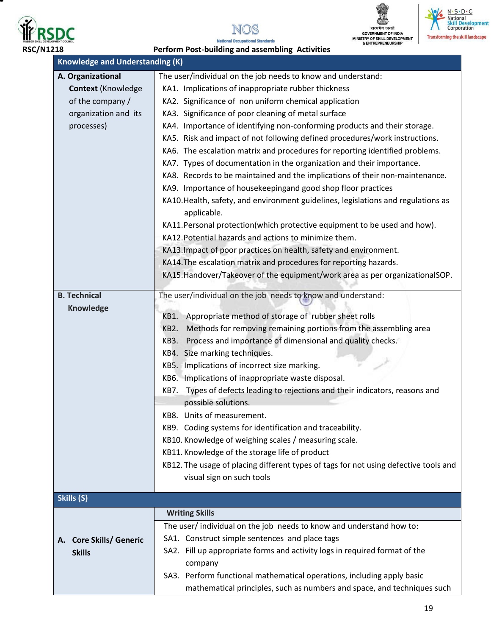

Ξ







**National Occupational Standards RSC/N1218 Perform Post-building and assembling Activities** 

| <b>Knowledge and Understanding (K)</b> |                                                                                       |  |  |
|----------------------------------------|---------------------------------------------------------------------------------------|--|--|
| A. Organizational                      | The user/individual on the job needs to know and understand:                          |  |  |
| <b>Context (Knowledge</b>              | KA1. Implications of inappropriate rubber thickness                                   |  |  |
| of the company /                       | KA2. Significance of non uniform chemical application                                 |  |  |
| organization and its                   | KA3. Significance of poor cleaning of metal surface                                   |  |  |
| processes)                             | KA4. Importance of identifying non-conforming products and their storage.             |  |  |
|                                        | KA5. Risk and impact of not following defined procedures/work instructions.           |  |  |
|                                        | KA6. The escalation matrix and procedures for reporting identified problems.          |  |  |
|                                        | KA7. Types of documentation in the organization and their importance.                 |  |  |
|                                        | KA8. Records to be maintained and the implications of their non-maintenance.          |  |  |
|                                        | KA9. Importance of housekeepingand good shop floor practices                          |  |  |
|                                        | KA10. Health, safety, and environment guidelines, legislations and regulations as     |  |  |
|                                        | applicable.                                                                           |  |  |
|                                        | KA11. Personal protection (which protective equipment to be used and how).            |  |  |
|                                        | KA12. Potential hazards and actions to minimize them.                                 |  |  |
|                                        | KA13. Impact of poor practices on health, safety and environment.                     |  |  |
|                                        | KA14. The escalation matrix and procedures for reporting hazards.                     |  |  |
|                                        | KA15.Handover/Takeover of the equipment/work area as per organizationalSOP.           |  |  |
| <b>B. Technical</b>                    | The user/individual on the job needs to know and understand:                          |  |  |
| Knowledge                              |                                                                                       |  |  |
|                                        | Appropriate method of storage of rubber sheet rolls<br>KB1.                           |  |  |
|                                        | Methods for removing remaining portions from the assembling area<br>KB <sub>2</sub> . |  |  |
|                                        | Process and importance of dimensional and quality checks.<br>KB3.                     |  |  |
|                                        | KB4. Size marking techniques.                                                         |  |  |
|                                        | KB5. Implications of incorrect size marking.                                          |  |  |
|                                        | KB6. Implications of inappropriate waste disposal.                                    |  |  |
|                                        | Types of defects leading to rejections and their indicators, reasons and<br>KB7.      |  |  |
|                                        | possible solutions.                                                                   |  |  |
|                                        | KB8. Units of measurement.                                                            |  |  |
|                                        | KB9. Coding systems for identification and traceability.                              |  |  |
|                                        | KB10. Knowledge of weighing scales / measuring scale.                                 |  |  |
|                                        | KB11. Knowledge of the storage life of product                                        |  |  |
|                                        | KB12. The usage of placing different types of tags for not using defective tools and  |  |  |
|                                        | visual sign on such tools                                                             |  |  |
| Skills (S)                             |                                                                                       |  |  |
|                                        | <b>Writing Skills</b>                                                                 |  |  |
|                                        | The user/ individual on the job needs to know and understand how to:                  |  |  |
| <b>Core Skills/ Generic</b><br>А.      | SA1. Construct simple sentences and place tags                                        |  |  |
| <b>Skills</b>                          | SA2. Fill up appropriate forms and activity logs in required format of the            |  |  |
|                                        | company                                                                               |  |  |
|                                        | SA3. Perform functional mathematical operations, including apply basic                |  |  |
|                                        | mathematical principles, such as numbers and space, and techniques such               |  |  |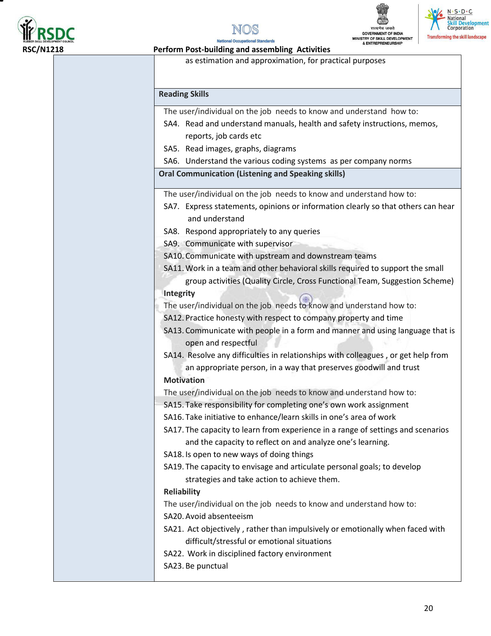







**Perform Post-building and assembling Activities** 

as estimation and approximation, for practical purposes

#### **Reading Skills**

The user/individual on the job needs to know and understand how to:

- SA4. Read and understand manuals, health and safety instructions, memos, reports, job cards etc
- SA5. Read images, graphs, diagrams
- SA6. Understand the various coding systems as per company norms

**Oral Communication (Listening and Speaking skills)** 

The user/individual on the job needs to know and understand how to:

- SA7. Express statements, opinions or information clearly so that others can hear and understand
- SA8. Respond appropriately to any queries

SA9. Communicate with supervisor

- SA10. Communicate with upstream and downstream teams
- SA11.Work in a team and other behavioral skills required to support the small

group activities (Quality Circle, Cross Functional Team, Suggestion Scheme) **Integrity** 

The user/individual on the job needs to know and understand how to:

- SA12. Practice honesty with respect to company property and time
- SA13. Communicate with people in a form and manner and using language that is open and respectful
- SA14. Resolve any difficulties in relationships with colleagues , or get help from an appropriate person, in a way that preserves goodwill and trust

#### **Motivation**

The user/individual on the job needs to know and understand how to:

- SA15. Take responsibility for completing one's own work assignment
- SA16. Take initiative to enhance/learn skills in one's area of work

SA17. The capacity to learn from experience in a range of settings and scenarios and the capacity to reflect on and analyze one's learning.

SA18. Is open to new ways of doing things

SA19. The capacity to envisage and articulate personal goals; to develop strategies and take action to achieve them.

#### **Reliability**

The user/individual on the job needs to know and understand how to:

SA20.Avoid absenteeism

- SA21. Act objectively , rather than impulsively or emotionally when faced with difficult/stressful or emotional situations
- SA22. Work in disciplined factory environment
- SA23. Be punctual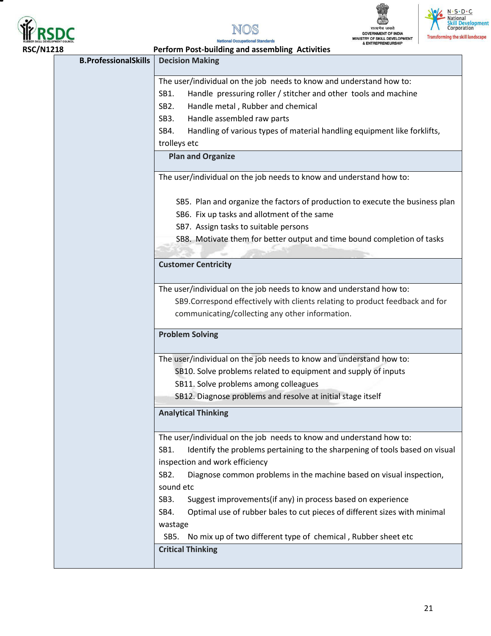

т









**National Occupational Standards** 

| <b>RSC/N1218</b> |                             | Perform Post-building and assembling Activities                                          |
|------------------|-----------------------------|------------------------------------------------------------------------------------------|
|                  | <b>B.ProfessionalSkills</b> | <b>Decision Making</b>                                                                   |
|                  |                             | The user/individual on the job needs to know and understand how to:                      |
|                  |                             | Handle pressuring roller / stitcher and other tools and machine<br>SB1.                  |
|                  |                             | Handle metal, Rubber and chemical<br>SB <sub>2</sub> .                                   |
|                  |                             | Handle assembled raw parts<br>SB <sub>3</sub> .                                          |
|                  |                             | Handling of various types of material handling equipment like forklifts,<br>SB4.         |
|                  |                             | trolleys etc                                                                             |
|                  |                             | <b>Plan and Organize</b>                                                                 |
|                  |                             | The user/individual on the job needs to know and understand how to:                      |
|                  |                             | SB5. Plan and organize the factors of production to execute the business plan            |
|                  |                             | SB6. Fix up tasks and allotment of the same                                              |
|                  |                             | SB7. Assign tasks to suitable persons                                                    |
|                  |                             | SB8. Motivate them for better output and time bound completion of tasks                  |
|                  |                             |                                                                                          |
|                  |                             | <b>Customer Centricity</b>                                                               |
|                  |                             | The user/individual on the job needs to know and understand how to:                      |
|                  |                             | SB9. Correspond effectively with clients relating to product feedback and for            |
|                  |                             | communicating/collecting any other information.                                          |
|                  |                             | <b>Problem Solving</b>                                                                   |
|                  |                             | The user/individual on the job needs to know and understand how to:                      |
|                  |                             | SB10. Solve problems related to equipment and supply of inputs                           |
|                  |                             | SB11. Solve problems among colleagues                                                    |
|                  |                             | SB12. Diagnose problems and resolve at initial stage itself                              |
|                  |                             | <b>Analytical Thinking</b>                                                               |
|                  |                             | The user/individual on the job needs to know and understand how to:                      |
|                  |                             | SB1.<br>Identify the problems pertaining to the sharpening of tools based on visual      |
|                  |                             | inspection and work efficiency                                                           |
|                  |                             | Diagnose common problems in the machine based on visual inspection,<br>SB <sub>2</sub> . |
|                  |                             | sound etc                                                                                |
|                  |                             | Suggest improvements(if any) in process based on experience<br>SB <sub>3</sub> .         |
|                  |                             | Optimal use of rubber bales to cut pieces of different sizes with minimal<br>SB4.        |
|                  |                             | wastage                                                                                  |
|                  |                             | No mix up of two different type of chemical, Rubber sheet etc<br>SB5.                    |
|                  |                             | <b>Critical Thinking</b>                                                                 |
|                  |                             |                                                                                          |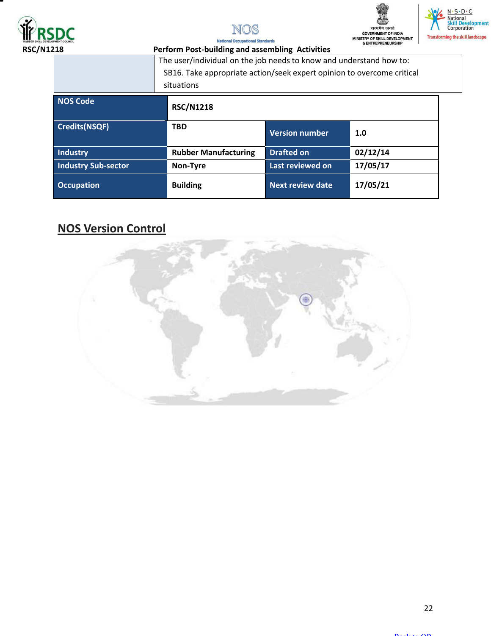







**National** 

| ΙŌ.                        | Perform Post-building and assembling Activities                                                                                               |                         |          |
|----------------------------|-----------------------------------------------------------------------------------------------------------------------------------------------|-------------------------|----------|
|                            | The user/individual on the job needs to know and understand how to:<br>SB16. Take appropriate action/seek expert opinion to overcome critical |                         |          |
|                            | situations                                                                                                                                    |                         |          |
| <b>NOS Code</b>            | <b>RSC/N1218</b>                                                                                                                              |                         |          |
| <b>Credits(NSQF)</b>       | <b>TBD</b>                                                                                                                                    | <b>Version number</b>   | 1.0      |
| <b>Industry</b>            | <b>Rubber Manufacturing</b>                                                                                                                   | <b>Drafted on</b>       | 02/12/14 |
| <b>Industry Sub-sector</b> | Non-Tyre                                                                                                                                      | Last reviewed on        | 17/05/17 |
| <b>Occupation</b>          | <b>Building</b>                                                                                                                               | <b>Next review date</b> | 17/05/21 |

## **NOS Version Control**

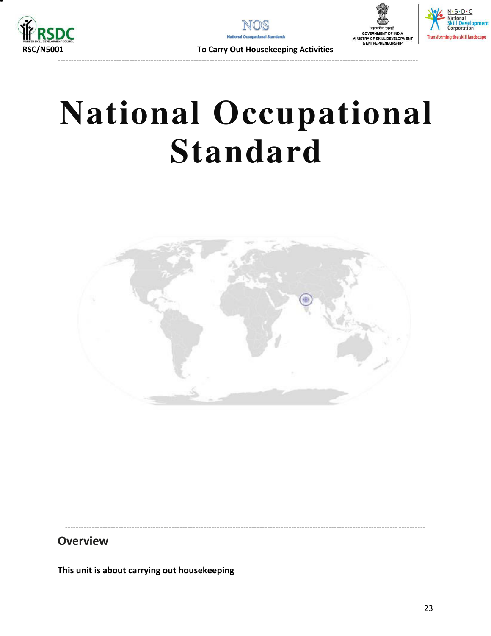







To Carry Out Housekeeping Activities

## **National Occupational Standard**

<span id="page-22-0"></span>

## **Overview**

This unit is about carrying out housekeeping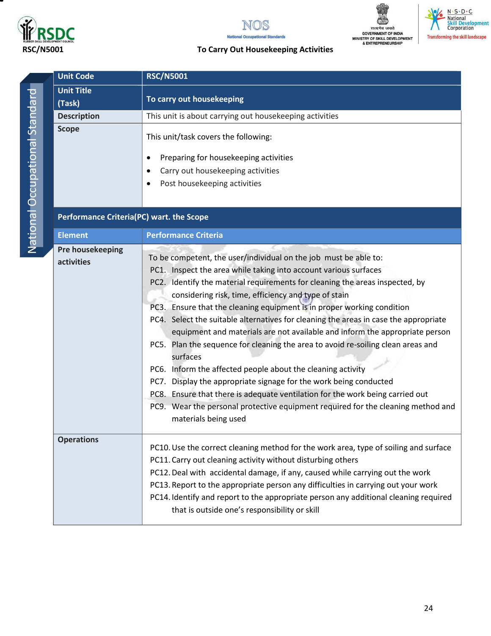

т





## N. S. D. C.<br>National<br>Skill Development<br>Corporation **Transforming the skill landscape**

### **RSC/N5001 To Carry Out Housekeeping Activities**

| ï      |  |
|--------|--|
| I      |  |
| ı      |  |
| ١      |  |
|        |  |
| ì      |  |
| 1      |  |
| l      |  |
|        |  |
|        |  |
|        |  |
|        |  |
| ì      |  |
| ι      |  |
|        |  |
| I<br>I |  |
|        |  |
|        |  |
|        |  |
|        |  |
|        |  |

| <b>Unit Code</b>                         | <b>RSC/N5001</b>                                                                                                                                                                                                                                                                                                                                                                                                                                                                                                                                                                                                                                                                                                                                                                                                                                                                                                                                               |
|------------------------------------------|----------------------------------------------------------------------------------------------------------------------------------------------------------------------------------------------------------------------------------------------------------------------------------------------------------------------------------------------------------------------------------------------------------------------------------------------------------------------------------------------------------------------------------------------------------------------------------------------------------------------------------------------------------------------------------------------------------------------------------------------------------------------------------------------------------------------------------------------------------------------------------------------------------------------------------------------------------------|
| <b>Unit Title</b><br>(Task)              | To carry out housekeeping                                                                                                                                                                                                                                                                                                                                                                                                                                                                                                                                                                                                                                                                                                                                                                                                                                                                                                                                      |
| <b>Description</b>                       | This unit is about carrying out housekeeping activities                                                                                                                                                                                                                                                                                                                                                                                                                                                                                                                                                                                                                                                                                                                                                                                                                                                                                                        |
| <b>Scope</b>                             | This unit/task covers the following:<br>Preparing for housekeeping activities<br>٠<br>Carry out housekeeping activities<br>٠<br>Post housekeeping activities<br>٠                                                                                                                                                                                                                                                                                                                                                                                                                                                                                                                                                                                                                                                                                                                                                                                              |
| Performance Criteria(PC) wart. the Scope |                                                                                                                                                                                                                                                                                                                                                                                                                                                                                                                                                                                                                                                                                                                                                                                                                                                                                                                                                                |
| <b>Element</b>                           | <b>Performance Criteria</b>                                                                                                                                                                                                                                                                                                                                                                                                                                                                                                                                                                                                                                                                                                                                                                                                                                                                                                                                    |
| <b>Pre housekeeping</b><br>activities    | To be competent, the user/individual on the job must be able to:<br>PC1. Inspect the area while taking into account various surfaces<br>PC2. Identify the material requirements for cleaning the areas inspected, by<br>considering risk, time, efficiency and type of stain<br>PC3. Ensure that the cleaning equipment is in proper working condition<br>PC4. Select the suitable alternatives for cleaning the areas in case the appropriate<br>equipment and materials are not available and inform the appropriate person<br>PC5. Plan the sequence for cleaning the area to avoid re-soiling clean areas and<br>surfaces<br>PC6. Inform the affected people about the cleaning activity<br>PC7. Display the appropriate signage for the work being conducted<br>PC8. Ensure that there is adequate ventilation for the work being carried out<br>PC9. Wear the personal protective equipment required for the cleaning method and<br>materials being used |
| <b>Operations</b>                        | PC10. Use the correct cleaning method for the work area, type of soiling and surface<br>PC11. Carry out cleaning activity without disturbing others<br>PC12. Deal with accidental damage, if any, caused while carrying out the work<br>PC13. Report to the appropriate person any difficulties in carrying out your work<br>PC14. Identify and report to the appropriate person any additional cleaning required<br>that is outside one's responsibility or skill                                                                                                                                                                                                                                                                                                                                                                                                                                                                                             |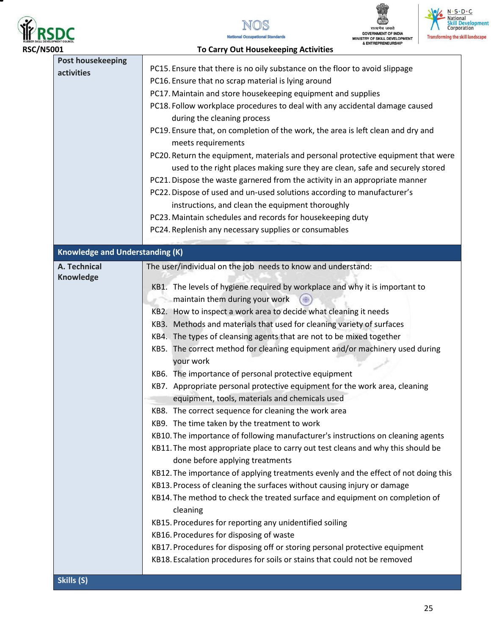

.







| <b>RSC/N5001</b>                               | <b>To Carry Out Housekeeping Activities</b>                                                                                                                                                                                                                                                                                                                                                                                                                                                                                                                                                                                                                                                                                                                                                                                                                                                                                                                                                                                                                                                                                                                                                                                                                                                                                                                                                                                                                                                                                               |
|------------------------------------------------|-------------------------------------------------------------------------------------------------------------------------------------------------------------------------------------------------------------------------------------------------------------------------------------------------------------------------------------------------------------------------------------------------------------------------------------------------------------------------------------------------------------------------------------------------------------------------------------------------------------------------------------------------------------------------------------------------------------------------------------------------------------------------------------------------------------------------------------------------------------------------------------------------------------------------------------------------------------------------------------------------------------------------------------------------------------------------------------------------------------------------------------------------------------------------------------------------------------------------------------------------------------------------------------------------------------------------------------------------------------------------------------------------------------------------------------------------------------------------------------------------------------------------------------------|
| <b>Post housekeeping</b><br>activities         | PC15. Ensure that there is no oily substance on the floor to avoid slippage<br>PC16. Ensure that no scrap material is lying around<br>PC17. Maintain and store housekeeping equipment and supplies<br>PC18. Follow workplace procedures to deal with any accidental damage caused<br>during the cleaning process<br>PC19. Ensure that, on completion of the work, the area is left clean and dry and<br>meets requirements<br>PC20. Return the equipment, materials and personal protective equipment that were<br>used to the right places making sure they are clean, safe and securely stored<br>PC21. Dispose the waste garnered from the activity in an appropriate manner<br>PC22. Dispose of used and un-used solutions according to manufacturer's<br>instructions, and clean the equipment thoroughly<br>PC23. Maintain schedules and records for housekeeping duty<br>PC24. Replenish any necessary supplies or consumables                                                                                                                                                                                                                                                                                                                                                                                                                                                                                                                                                                                                     |
|                                                |                                                                                                                                                                                                                                                                                                                                                                                                                                                                                                                                                                                                                                                                                                                                                                                                                                                                                                                                                                                                                                                                                                                                                                                                                                                                                                                                                                                                                                                                                                                                           |
| <b>Knowledge and Understanding (K)</b>         |                                                                                                                                                                                                                                                                                                                                                                                                                                                                                                                                                                                                                                                                                                                                                                                                                                                                                                                                                                                                                                                                                                                                                                                                                                                                                                                                                                                                                                                                                                                                           |
| A. Technical<br><b>Knowledge</b><br>Skills (S) | The user/individual on the job needs to know and understand:<br>KB1. The levels of hygiene required by workplace and why it is important to<br>maintain them during your work<br>KB2. How to inspect a work area to decide what cleaning it needs<br>KB3. Methods and materials that used for cleaning variety of surfaces<br>KB4. The types of cleansing agents that are not to be mixed together<br>KB5. The correct method for cleaning equipment and/or machinery used during<br>your work<br>KB6. The importance of personal protective equipment<br>KB7. Appropriate personal protective equipment for the work area, cleaning<br>equipment, tools, materials and chemicals used<br>KB8. The correct sequence for cleaning the work area<br>KB9. The time taken by the treatment to work<br>KB10. The importance of following manufacturer's instructions on cleaning agents<br>KB11. The most appropriate place to carry out test cleans and why this should be<br>done before applying treatments<br>KB12. The importance of applying treatments evenly and the effect of not doing this<br>KB13. Process of cleaning the surfaces without causing injury or damage<br>KB14. The method to check the treated surface and equipment on completion of<br>cleaning<br>KB15. Procedures for reporting any unidentified soiling<br>KB16. Procedures for disposing of waste<br>KB17. Procedures for disposing off or storing personal protective equipment<br>KB18. Escalation procedures for soils or stains that could not be removed |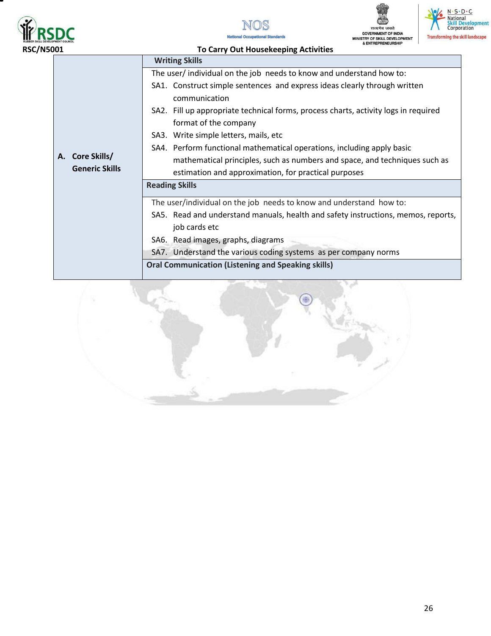







| 001                   | <b>&amp; ENINEPRENEURSHIP</b><br><b>To Carry Out Housekeeping Activities</b>               |
|-----------------------|--------------------------------------------------------------------------------------------|
|                       | <b>Writing Skills</b>                                                                      |
|                       | The user/individual on the job needs to know and understand how to:                        |
|                       | SA1. Construct simple sentences and express ideas clearly through written<br>communication |
|                       | SA2. Fill up appropriate technical forms, process charts, activity logs in required        |
|                       | format of the company                                                                      |
|                       | SA3. Write simple letters, mails, etc                                                      |
|                       | SA4. Perform functional mathematical operations, including apply basic                     |
| Core Skills/<br>А.    | mathematical principles, such as numbers and space, and techniques such as                 |
| <b>Generic Skills</b> | estimation and approximation, for practical purposes                                       |
|                       | <b>Reading Skills</b>                                                                      |
|                       | The user/individual on the job needs to know and understand how to:                        |
|                       | SA5. Read and understand manuals, health and safety instructions, memos, reports,          |
|                       | job cards etc                                                                              |
|                       | SA6. Read images, graphs, diagrams                                                         |
|                       | SA7. Understand the various coding systems as per company norms                            |
|                       | <b>Oral Communication (Listening and Speaking skills)</b>                                  |
|                       |                                                                                            |

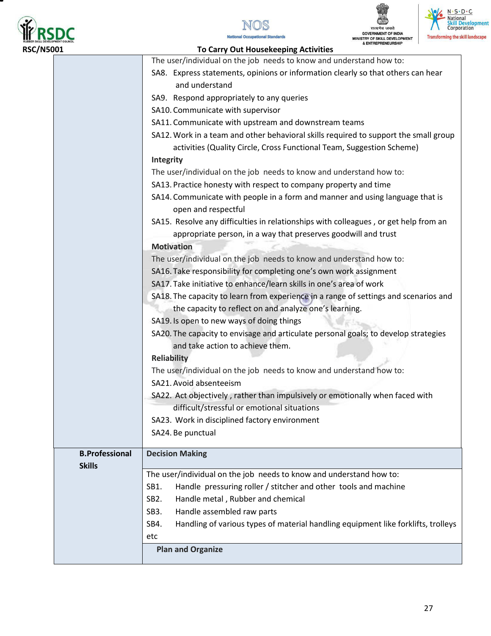







|  | <b>To Carry Out Housekeeping Activities</b><br><b>RSC/N5001</b> |                                                                                                                                                               |  |
|--|-----------------------------------------------------------------|---------------------------------------------------------------------------------------------------------------------------------------------------------------|--|
|  |                                                                 | The user/individual on the job needs to know and understand how to:                                                                                           |  |
|  |                                                                 | SA8. Express statements, opinions or information clearly so that others can hear                                                                              |  |
|  |                                                                 | and understand                                                                                                                                                |  |
|  |                                                                 | SA9. Respond appropriately to any queries                                                                                                                     |  |
|  |                                                                 | SA10. Communicate with supervisor                                                                                                                             |  |
|  |                                                                 | SA11. Communicate with upstream and downstream teams                                                                                                          |  |
|  |                                                                 | SA12. Work in a team and other behavioral skills required to support the small group<br>activities (Quality Circle, Cross Functional Team, Suggestion Scheme) |  |
|  |                                                                 | Integrity                                                                                                                                                     |  |
|  |                                                                 | The user/individual on the job needs to know and understand how to:                                                                                           |  |
|  |                                                                 | SA13. Practice honesty with respect to company property and time                                                                                              |  |
|  |                                                                 | SA14. Communicate with people in a form and manner and using language that is<br>open and respectful                                                          |  |
|  |                                                                 | SA15. Resolve any difficulties in relationships with colleagues, or get help from an<br>appropriate person, in a way that preserves goodwill and trust        |  |
|  |                                                                 | <b>Motivation</b>                                                                                                                                             |  |
|  |                                                                 | The user/individual on the job needs to know and understand how to:                                                                                           |  |
|  |                                                                 | SA16. Take responsibility for completing one's own work assignment                                                                                            |  |
|  |                                                                 | SA17. Take initiative to enhance/learn skills in one's area of work                                                                                           |  |
|  |                                                                 | SA18. The capacity to learn from experience in a range of settings and scenarios and                                                                          |  |
|  |                                                                 | the capacity to reflect on and analyze one's learning.                                                                                                        |  |
|  |                                                                 | SA19. Is open to new ways of doing things                                                                                                                     |  |
|  |                                                                 | SA20. The capacity to envisage and articulate personal goals; to develop strategies<br>and take action to achieve them.                                       |  |
|  |                                                                 | <b>Reliability</b>                                                                                                                                            |  |
|  |                                                                 | The user/individual on the job needs to know and understand how to:                                                                                           |  |
|  |                                                                 | SA21. Avoid absenteeism                                                                                                                                       |  |
|  |                                                                 | SA22. Act objectively, rather than impulsively or emotionally when faced with                                                                                 |  |
|  |                                                                 | difficult/stressful or emotional situations                                                                                                                   |  |
|  |                                                                 | SA23. Work in disciplined factory environment                                                                                                                 |  |
|  |                                                                 | SA24. Be punctual                                                                                                                                             |  |
|  | <b>B.Professional</b>                                           | <b>Decision Making</b>                                                                                                                                        |  |
|  | <b>Skills</b>                                                   |                                                                                                                                                               |  |
|  |                                                                 | The user/individual on the job needs to know and understand how to:                                                                                           |  |
|  |                                                                 | SB1.<br>Handle pressuring roller / stitcher and other tools and machine                                                                                       |  |
|  |                                                                 | SB <sub>2</sub> .<br>Handle metal, Rubber and chemical                                                                                                        |  |
|  |                                                                 | SB <sub>3</sub> .<br>Handle assembled raw parts                                                                                                               |  |
|  |                                                                 | SB4.<br>Handling of various types of material handling equipment like forklifts, trolleys                                                                     |  |
|  |                                                                 | etc                                                                                                                                                           |  |
|  |                                                                 | <b>Plan and Organize</b>                                                                                                                                      |  |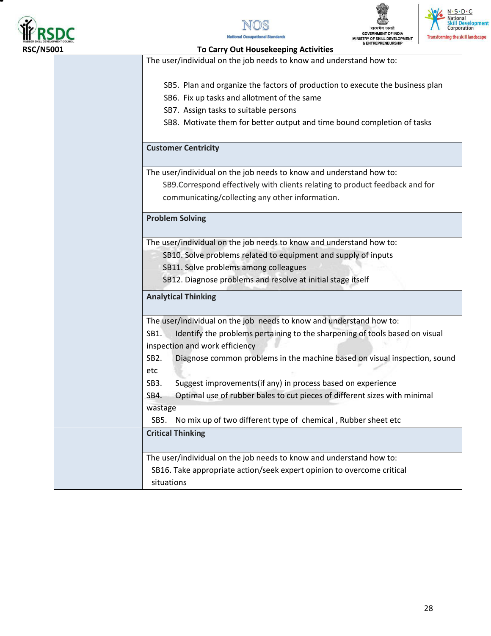







#### **RSC/N5001 To Carry Out Housekeeping Activities**

The user/individual on the job needs to know and understand how to:

- SB5. Plan and organize the factors of production to execute the business plan
- SB6. Fix up tasks and allotment of the same
- SB7. Assign tasks to suitable persons
- SB8. Motivate them for better output and time bound completion of tasks

#### **Customer Centricity**

The user/individual on the job needs to know and understand how to:

SB9.Correspond effectively with clients relating to product feedback and for communicating/collecting any other information.

#### **Problem Solving**

The user/individual on the job needs to know and understand how to:

- SB10. Solve problems related to equipment and supply of inputs
	- SB11. Solve problems among colleagues
	- SB12. Diagnose problems and resolve at initial stage itself

#### **Analytical Thinking**

|                   | The user/individual on the job needs to know and understand how to:         |
|-------------------|-----------------------------------------------------------------------------|
| SB1.              | Identify the problems pertaining to the sharpening of tools based on visual |
|                   | inspection and work efficiency                                              |
| SB <sub>2</sub> . | Diagnose common problems in the machine based on visual inspection, sound   |
| etc               |                                                                             |
| SB <sub>3</sub> . | Suggest improvements (if any) in process based on experience                |
| SB4.              | Optimal use of rubber bales to cut pieces of different sizes with minimal   |
| wastage           |                                                                             |
|                   | SB5. No mix up of two different type of chemical, Rubber sheet etc          |
|                   | <b>Critical Thinking</b>                                                    |
|                   |                                                                             |
|                   | The user/individual on the job needs to know and understand how to:         |
|                   | SB16. Take appropriate action/seek expert opinion to overcome critical      |
| situations        |                                                                             |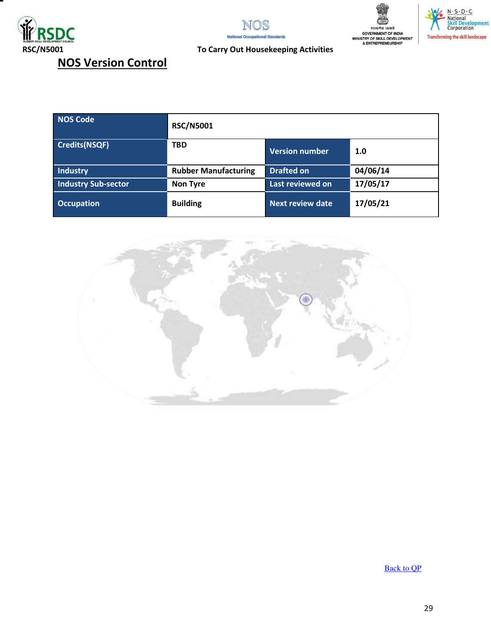







## **NOS Version Control**

| NOS Code             | <b>RSC/N5001</b>            |                         |          |
|----------------------|-----------------------------|-------------------------|----------|
| <b>Credits(NSQF)</b> | <b>TBD</b>                  | Version number          | 1.0      |
| <b>Industry</b>      | <b>Rubber Manufacturing</b> | Drafted on              | 04/06/14 |
| Industry Sub-sector  | <b>Non Tyre</b>             | Last reviewed on        | 17/05/17 |
| <b>Occupation</b>    | <b>Building</b>             | <b>Next review date</b> | 17/05/21 |



[Back to QP](#page-1-0)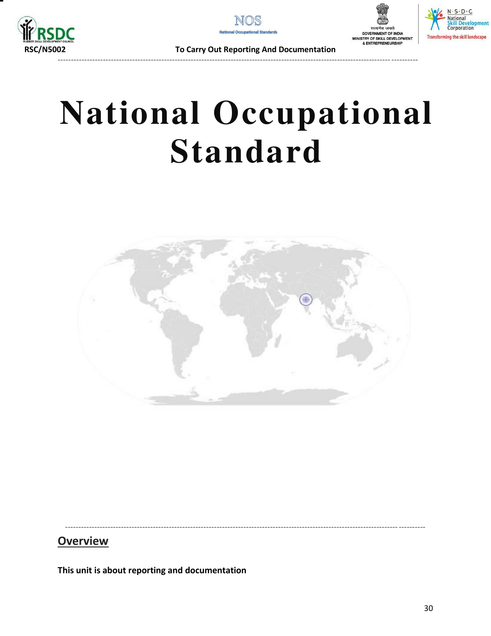







 **RSC/N5002 To Carry Out Reporting And Documentation** 

## **National Occupational Standard**

<span id="page-29-0"></span>

----------------------------------------------------------------------------------------------------------------------------- ----------

## **Overview**

**This unit is about reporting and documentation**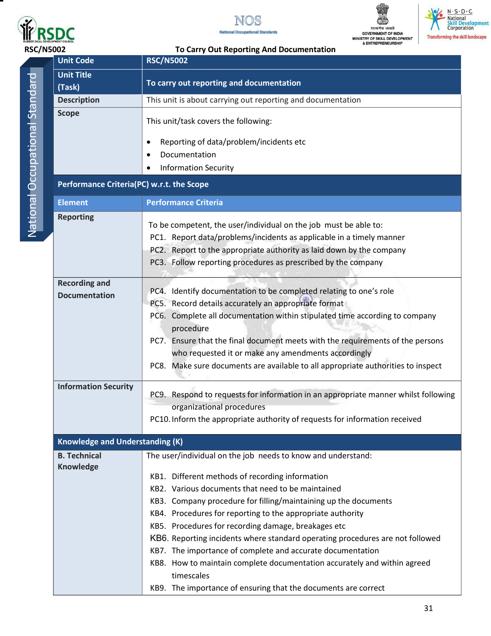







| <b>Unit Code</b>                             | <b>RSC/N5002</b>                                                                                                                                                                                                                                                                                                                                                                                                                                                                                                                                                                                                                                                        |  |  |
|----------------------------------------------|-------------------------------------------------------------------------------------------------------------------------------------------------------------------------------------------------------------------------------------------------------------------------------------------------------------------------------------------------------------------------------------------------------------------------------------------------------------------------------------------------------------------------------------------------------------------------------------------------------------------------------------------------------------------------|--|--|
| <b>Unit Title</b><br>(Task)                  | To carry out reporting and documentation                                                                                                                                                                                                                                                                                                                                                                                                                                                                                                                                                                                                                                |  |  |
| <b>Description</b>                           | This unit is about carrying out reporting and documentation                                                                                                                                                                                                                                                                                                                                                                                                                                                                                                                                                                                                             |  |  |
| <b>Scope</b>                                 | This unit/task covers the following:<br>Reporting of data/problem/incidents etc<br>٠<br>Documentation<br><b>Information Security</b>                                                                                                                                                                                                                                                                                                                                                                                                                                                                                                                                    |  |  |
| Performance Criteria(PC) w.r.t. the Scope    |                                                                                                                                                                                                                                                                                                                                                                                                                                                                                                                                                                                                                                                                         |  |  |
| <b>Element</b>                               | <b>Performance Criteria</b>                                                                                                                                                                                                                                                                                                                                                                                                                                                                                                                                                                                                                                             |  |  |
| <b>Reporting</b>                             | To be competent, the user/individual on the job must be able to:<br>PC1. Report data/problems/incidents as applicable in a timely manner<br>PC2. Report to the appropriate authority as laid down by the company<br>PC3. Follow reporting procedures as prescribed by the company                                                                                                                                                                                                                                                                                                                                                                                       |  |  |
| <b>Recording and</b><br><b>Documentation</b> | PC4. Identify documentation to be completed relating to one's role<br>PC5. Record details accurately an appropriate format<br>PC6. Complete all documentation within stipulated time according to company<br>procedure<br>Ensure that the final document meets with the requirements of the persons<br>PC7.<br>who requested it or make any amendments accordingly<br>PC8. Make sure documents are available to all appropriate authorities to inspect                                                                                                                                                                                                                  |  |  |
| <b>Information Security</b>                  | PC9. Respond to requests for information in an appropriate manner whilst following<br>organizational procedures<br>PC10. Inform the appropriate authority of requests for information received                                                                                                                                                                                                                                                                                                                                                                                                                                                                          |  |  |
| <b>Knowledge and Understanding (K)</b>       |                                                                                                                                                                                                                                                                                                                                                                                                                                                                                                                                                                                                                                                                         |  |  |
| <b>B. Technical</b><br><b>Knowledge</b>      | The user/individual on the job needs to know and understand:<br>KB1. Different methods of recording information<br>KB2. Various documents that need to be maintained<br>KB3. Company procedure for filling/maintaining up the documents<br>KB4. Procedures for reporting to the appropriate authority<br>KB5. Procedures for recording damage, breakages etc<br>KB6. Reporting incidents where standard operating procedures are not followed<br>KB7. The importance of complete and accurate documentation<br>KB8. How to maintain complete documentation accurately and within agreed<br>timescales<br>KB9. The importance of ensuring that the documents are correct |  |  |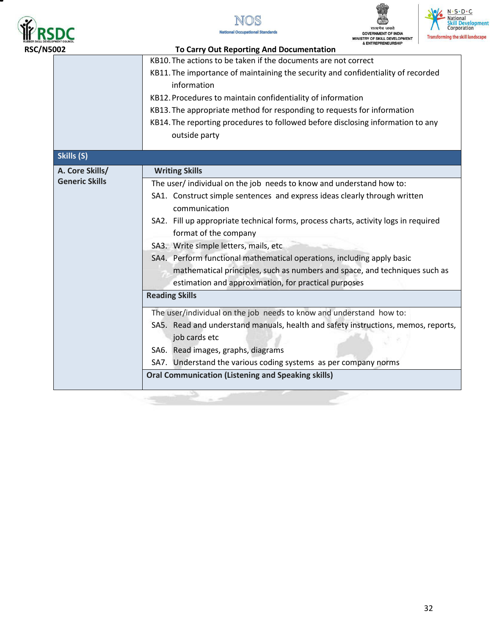

Ξ







|                                                                     | KB10. The actions to be taken if the documents are not correct                                  |  |
|---------------------------------------------------------------------|-------------------------------------------------------------------------------------------------|--|
|                                                                     | KB11. The importance of maintaining the security and confidentiality of recorded<br>information |  |
|                                                                     | KB12. Procedures to maintain confidentiality of information                                     |  |
|                                                                     | KB13. The appropriate method for responding to requests for information                         |  |
|                                                                     | KB14. The reporting procedures to followed before disclosing information to any                 |  |
|                                                                     | outside party                                                                                   |  |
| Skills (S)                                                          |                                                                                                 |  |
| A. Core Skills/                                                     | <b>Writing Skills</b>                                                                           |  |
| <b>Generic Skills</b>                                               | The user/ individual on the job needs to know and understand how to:                            |  |
|                                                                     | SA1. Construct simple sentences and express ideas clearly through written                       |  |
|                                                                     | communication                                                                                   |  |
|                                                                     | SA2. Fill up appropriate technical forms, process charts, activity logs in required             |  |
|                                                                     | format of the company                                                                           |  |
|                                                                     | SA3. Write simple letters, mails, etc                                                           |  |
|                                                                     | SA4. Perform functional mathematical operations, including apply basic                          |  |
|                                                                     | mathematical principles, such as numbers and space, and techniques such as                      |  |
|                                                                     | estimation and approximation, for practical purposes                                            |  |
| <b>Reading Skills</b>                                               |                                                                                                 |  |
| The user/individual on the job needs to know and understand how to: |                                                                                                 |  |
|                                                                     | SA5. Read and understand manuals, health and safety instructions, memos, reports,               |  |
|                                                                     | job cards etc                                                                                   |  |
|                                                                     | SA6. Read images, graphs, diagrams                                                              |  |
|                                                                     | SA7. Understand the various coding systems as per company norms                                 |  |
|                                                                     | <b>Oral Communication (Listening and Speaking skills)</b>                                       |  |
|                                                                     |                                                                                                 |  |

a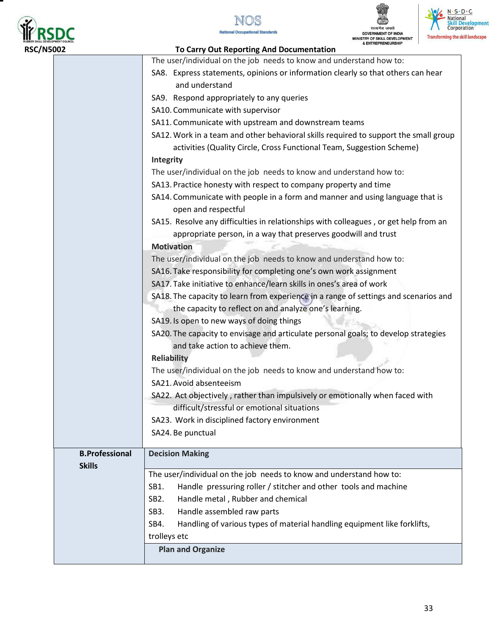

т







| 002                   | & ENTREPRENEURSHIP<br>To Carry Out Reporting And Documentation                               |  |  |
|-----------------------|----------------------------------------------------------------------------------------------|--|--|
|                       | The user/individual on the job needs to know and understand how to:                          |  |  |
|                       | SA8. Express statements, opinions or information clearly so that others can hear             |  |  |
|                       | and understand                                                                               |  |  |
|                       | SA9. Respond appropriately to any queries                                                    |  |  |
|                       | SA10. Communicate with supervisor                                                            |  |  |
|                       | SA11. Communicate with upstream and downstream teams                                         |  |  |
|                       | SA12. Work in a team and other behavioral skills required to support the small group         |  |  |
|                       | activities (Quality Circle, Cross Functional Team, Suggestion Scheme)                        |  |  |
|                       | Integrity                                                                                    |  |  |
|                       | The user/individual on the job needs to know and understand how to:                          |  |  |
|                       | SA13. Practice honesty with respect to company property and time                             |  |  |
|                       | SA14. Communicate with people in a form and manner and using language that is                |  |  |
|                       | open and respectful                                                                          |  |  |
|                       | SA15. Resolve any difficulties in relationships with colleagues, or get help from an         |  |  |
|                       | appropriate person, in a way that preserves goodwill and trust                               |  |  |
|                       | <b>Motivation</b>                                                                            |  |  |
|                       | The user/individual on the job needs to know and understand how to:                          |  |  |
|                       | SA16. Take responsibility for completing one's own work assignment                           |  |  |
|                       | SA17. Take initiative to enhance/learn skills in ones's area of work                         |  |  |
|                       | SA18. The capacity to learn from experience in a range of settings and scenarios and         |  |  |
|                       | the capacity to reflect on and analyze one's learning.                                       |  |  |
|                       | SA19. Is open to new ways of doing things                                                    |  |  |
|                       | SA20. The capacity to envisage and articulate personal goals; to develop strategies          |  |  |
|                       | and take action to achieve them.                                                             |  |  |
|                       | <b>Reliability</b>                                                                           |  |  |
|                       | The user/individual on the job needs to know and understand how to:                          |  |  |
|                       | SA21. Avoid absenteeism                                                                      |  |  |
|                       | SA22. Act objectively, rather than impulsively or emotionally when faced with                |  |  |
|                       | difficult/stressful or emotional situations                                                  |  |  |
|                       | SA23. Work in disciplined factory environment                                                |  |  |
|                       | SA24. Be punctual                                                                            |  |  |
| <b>B.Professional</b> | <b>Decision Making</b>                                                                       |  |  |
| <b>Skills</b>         | The user/individual on the job needs to know and understand how to:                          |  |  |
|                       | Handle pressuring roller / stitcher and other tools and machine<br>SB1.                      |  |  |
|                       |                                                                                              |  |  |
|                       | Handle metal, Rubber and chemical<br>SB <sub>2</sub> .<br>Handle assembled raw parts<br>SB3. |  |  |
|                       | Handling of various types of material handling equipment like forklifts,<br>SB4.             |  |  |
|                       | trolleys etc                                                                                 |  |  |
|                       | <b>Plan and Organize</b>                                                                     |  |  |
|                       |                                                                                              |  |  |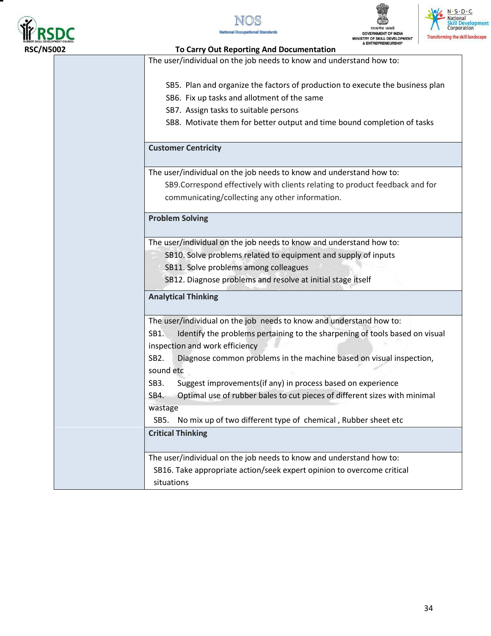

т







| To Carry Out Reporting And Documentation                                                                                     |
|------------------------------------------------------------------------------------------------------------------------------|
| The user/individual on the job needs to know and understand how to:                                                          |
| SB5. Plan and organize the factors of production to execute the business plan<br>SB6. Fix up tasks and allotment of the same |
|                                                                                                                              |
| SB7. Assign tasks to suitable persons                                                                                        |
| SB8. Motivate them for better output and time bound completion of tasks                                                      |
| <b>Customer Centricity</b>                                                                                                   |
| The user/individual on the job needs to know and understand how to:                                                          |
| SB9. Correspond effectively with clients relating to product feedback and for                                                |
| communicating/collecting any other information.                                                                              |
| <b>Problem Solving</b>                                                                                                       |
| The user/individual on the job needs to know and understand how to:                                                          |
| SB10. Solve problems related to equipment and supply of inputs                                                               |
| SB11. Solve problems among colleagues                                                                                        |
| SB12. Diagnose problems and resolve at initial stage itself                                                                  |
| <b>Analytical Thinking</b>                                                                                                   |
| The user/individual on the job needs to know and understand how to:                                                          |
| SB1.<br>Identify the problems pertaining to the sharpening of tools based on visual<br>inspection and work efficiency        |
| SB <sub>2</sub> .<br>Diagnose common problems in the machine based on visual inspection,<br>sound etc                        |
| Suggest improvements(if any) in process based on experience<br>SB <sub>3</sub> .                                             |
| Optimal use of rubber bales to cut pieces of different sizes with minimal<br>SB4.                                            |
| wastage                                                                                                                      |
| No mix up of two different type of chemical, Rubber sheet etc<br>SB5.                                                        |
| <b>Critical Thinking</b>                                                                                                     |
| The user/individual on the job needs to know and understand how to:                                                          |
| SB16. Take appropriate action/seek expert opinion to overcome critical                                                       |
| situations                                                                                                                   |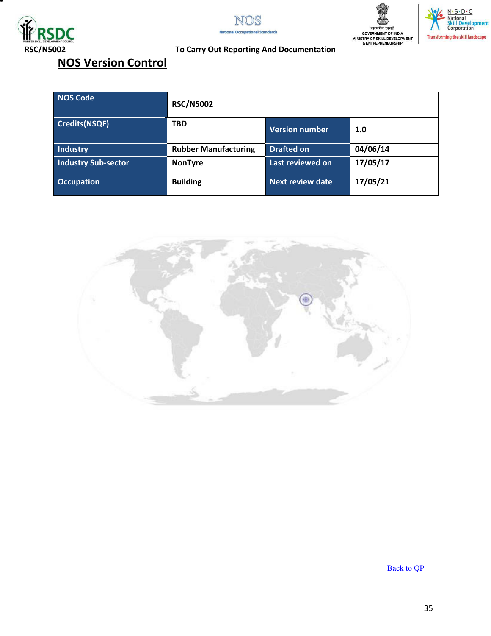







#### **RSC/N5002 To Carry Out Reporting And Documentation**

## **NOS Version Control**

| <b>NOS Code</b>            | <b>RSC/N5002</b>            |                         |          |
|----------------------------|-----------------------------|-------------------------|----------|
| Credits(NSQF)              | <b>TBD</b>                  | <b>Version number</b>   | 1.0      |
| <b>Industry</b>            | <b>Rubber Manufacturing</b> | <b>Drafted on</b>       | 04/06/14 |
| <b>Industry Sub-sector</b> | <b>NonTyre</b>              | Last reviewed on        | 17/05/17 |
| <b>Occupation</b>          | <b>Building</b>             | <b>Next review date</b> | 17/05/21 |



[Back to QP](#page-1-0)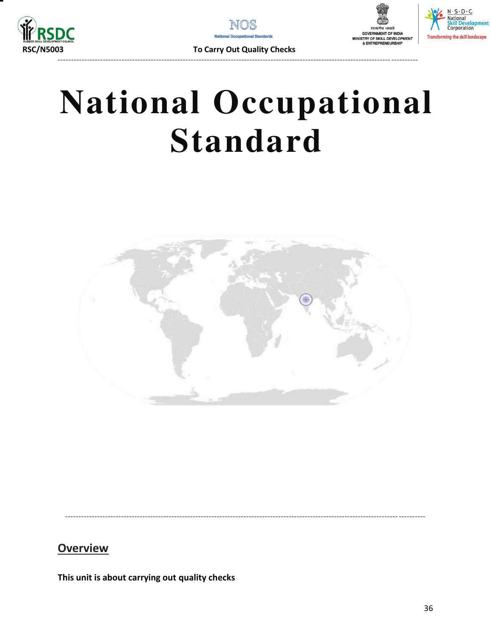







**To Carry Out Quality Checks** 

# **National Occupational Standard**

<span id="page-35-0"></span>

## **Overview**

This unit is about carrying out quality checks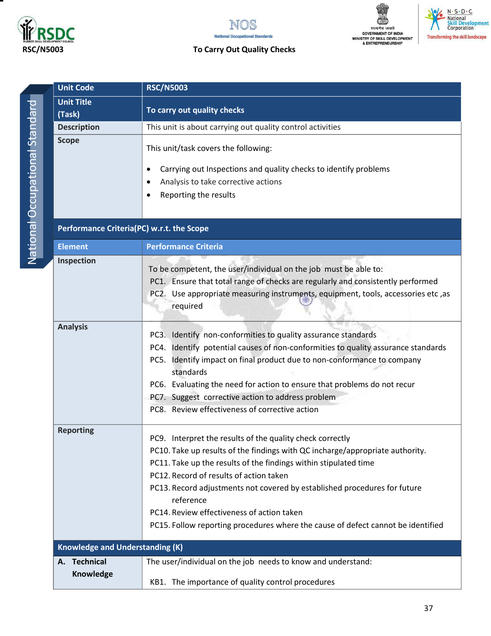

National Occupational Standard

National Occupational Standard



## ЩΜ सत्य जयते<br>GOVERNMENT OF INDIA<br>MINISTRY OF SKILL DEVELOPMENT<br>& ENTREPRENEURSHIP



### **RSC/N5003 To Carry Out Quality Checks**

| <b>Unit Code</b><br><b>RSC/N5003</b>   |                                                                                                                                                                                                                                                                                                                                                                                                                                                                                       |  |
|----------------------------------------|---------------------------------------------------------------------------------------------------------------------------------------------------------------------------------------------------------------------------------------------------------------------------------------------------------------------------------------------------------------------------------------------------------------------------------------------------------------------------------------|--|
| <b>Unit Title</b><br>(Task)            | To carry out quality checks                                                                                                                                                                                                                                                                                                                                                                                                                                                           |  |
| <b>Description</b>                     | This unit is about carrying out quality control activities                                                                                                                                                                                                                                                                                                                                                                                                                            |  |
| <b>Scope</b>                           | This unit/task covers the following:<br>Carrying out Inspections and quality checks to identify problems<br>Analysis to take corrective actions<br>Reporting the results                                                                                                                                                                                                                                                                                                              |  |
|                                        | Performance Criteria(PC) w.r.t. the Scope                                                                                                                                                                                                                                                                                                                                                                                                                                             |  |
| <b>Element</b>                         | <b>Performance Criteria</b>                                                                                                                                                                                                                                                                                                                                                                                                                                                           |  |
| Inspection                             | To be competent, the user/individual on the job must be able to:<br>PC1. Ensure that total range of checks are regularly and consistently performed<br>PC2. Use appropriate measuring instruments, equipment, tools, accessories etc, as<br>required                                                                                                                                                                                                                                  |  |
| <b>Analysis</b>                        | PC3. Identify non-conformities to quality assurance standards<br>PC4. Identify potential causes of non-conformities to quality assurance standards<br>PC5. Identify impact on final product due to non-conformance to company<br>standards<br>PC6. Evaluating the need for action to ensure that problems do not recur<br>PC7. Suggest corrective action to address problem<br>PC8. Review effectiveness of corrective action                                                         |  |
| <b>Reporting</b>                       | PC9. Interpret the results of the quality check correctly<br>PC10. Take up results of the findings with QC incharge/appropriate authority.<br>PC11. Take up the results of the findings within stipulated time<br>PC12. Record of results of action taken<br>PC13. Record adjustments not covered by established procedures for future<br>reference<br>PC14. Review effectiveness of action taken<br>PC15. Follow reporting procedures where the cause of defect cannot be identified |  |
| <b>Knowledge and Understanding (K)</b> |                                                                                                                                                                                                                                                                                                                                                                                                                                                                                       |  |
| <b>Technical</b><br>А.<br>Knowledge    | The user/individual on the job needs to know and understand:<br>KB1. The importance of quality control procedures                                                                                                                                                                                                                                                                                                                                                                     |  |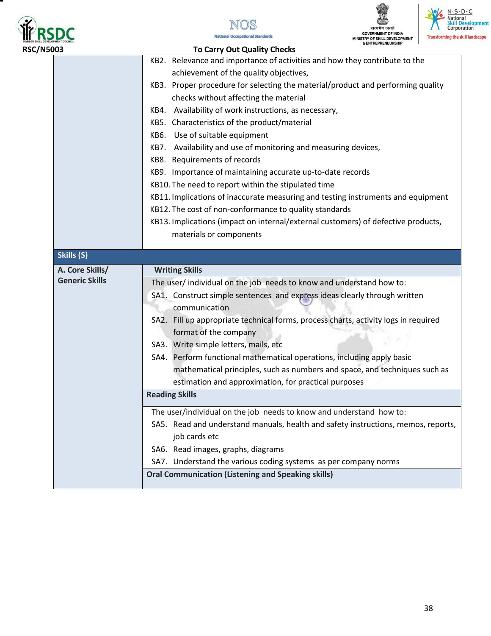

т







| <b>RSC/N5003</b> |                                          | <b>To Carry Out Quality Checks</b>                                                                                                                |  |
|------------------|------------------------------------------|---------------------------------------------------------------------------------------------------------------------------------------------------|--|
|                  |                                          | KB2. Relevance and importance of activities and how they contribute to the                                                                        |  |
|                  |                                          | achievement of the quality objectives,                                                                                                            |  |
|                  |                                          | KB3. Proper procedure for selecting the material/product and performing quality                                                                   |  |
|                  |                                          | checks without affecting the material                                                                                                             |  |
|                  |                                          | KB4. Availability of work instructions, as necessary,                                                                                             |  |
|                  |                                          | KB5. Characteristics of the product/material                                                                                                      |  |
|                  |                                          | KB6. Use of suitable equipment                                                                                                                    |  |
|                  |                                          | KB7. Availability and use of monitoring and measuring devices,                                                                                    |  |
|                  |                                          | KB8. Requirements of records                                                                                                                      |  |
|                  |                                          | KB9. Importance of maintaining accurate up-to-date records                                                                                        |  |
|                  |                                          | KB10. The need to report within the stipulated time                                                                                               |  |
|                  |                                          | KB11. Implications of inaccurate measuring and testing instruments and equipment                                                                  |  |
|                  |                                          | KB12. The cost of non-conformance to quality standards                                                                                            |  |
|                  |                                          | KB13. Implications (impact on internal/external customers) of defective products,                                                                 |  |
|                  |                                          | materials or components                                                                                                                           |  |
| Skills (S)       |                                          |                                                                                                                                                   |  |
|                  |                                          |                                                                                                                                                   |  |
|                  | A. Core Skills/<br><b>Generic Skills</b> | <b>Writing Skills</b>                                                                                                                             |  |
|                  |                                          | The user/ individual on the job needs to know and understand how to:<br>SA1. Construct simple sentences and express ideas clearly through written |  |
|                  |                                          | communication                                                                                                                                     |  |
|                  |                                          | SA2. Fill up appropriate technical forms, process charts, activity logs in required                                                               |  |
|                  |                                          | format of the company                                                                                                                             |  |
|                  |                                          | SA3. Write simple letters, mails, etc                                                                                                             |  |
|                  |                                          | SA4. Perform functional mathematical operations, including apply basic                                                                            |  |
|                  |                                          | mathematical principles, such as numbers and space, and techniques such as                                                                        |  |
|                  |                                          | estimation and approximation, for practical purposes                                                                                              |  |
|                  |                                          | <b>Reading Skills</b>                                                                                                                             |  |
|                  |                                          | The user/individual on the job needs to know and understand how to:                                                                               |  |
|                  |                                          | SA5. Read and understand manuals, health and safety instructions, memos, reports,                                                                 |  |
|                  |                                          | job cards etc                                                                                                                                     |  |
|                  |                                          | SA6. Read images, graphs, diagrams                                                                                                                |  |
|                  |                                          | SA7. Understand the various coding systems as per company norms                                                                                   |  |
|                  |                                          | <b>Oral Communication (Listening and Speaking skills)</b>                                                                                         |  |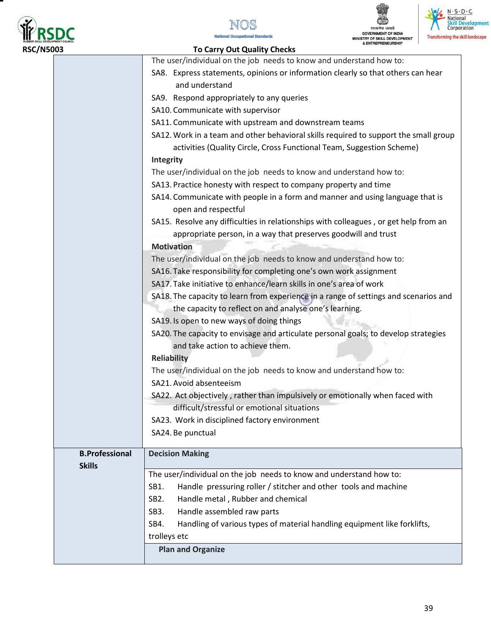







| 5003                                                           | & ENTREPRENEURSHIP<br><b>To Carry Out Quality Checks</b>                             |  |  |
|----------------------------------------------------------------|--------------------------------------------------------------------------------------|--|--|
|                                                                | The user/individual on the job needs to know and understand how to:                  |  |  |
|                                                                | SA8. Express statements, opinions or information clearly so that others can hear     |  |  |
|                                                                | and understand                                                                       |  |  |
|                                                                | SA9. Respond appropriately to any queries                                            |  |  |
|                                                                | SA10. Communicate with supervisor                                                    |  |  |
|                                                                | SA11. Communicate with upstream and downstream teams                                 |  |  |
|                                                                | SA12. Work in a team and other behavioral skills required to support the small group |  |  |
|                                                                | activities (Quality Circle, Cross Functional Team, Suggestion Scheme)                |  |  |
|                                                                | Integrity                                                                            |  |  |
|                                                                | The user/individual on the job needs to know and understand how to:                  |  |  |
|                                                                | SA13. Practice honesty with respect to company property and time                     |  |  |
|                                                                | SA14. Communicate with people in a form and manner and using language that is        |  |  |
|                                                                | open and respectful                                                                  |  |  |
|                                                                | SA15. Resolve any difficulties in relationships with colleagues, or get help from an |  |  |
| appropriate person, in a way that preserves goodwill and trust |                                                                                      |  |  |
|                                                                | <b>Motivation</b>                                                                    |  |  |
|                                                                | The user/individual on the job needs to know and understand how to:                  |  |  |
|                                                                | SA16. Take responsibility for completing one's own work assignment                   |  |  |
|                                                                | SA17. Take initiative to enhance/learn skills in one's area of work                  |  |  |
|                                                                | SA18. The capacity to learn from experience in a range of settings and scenarios and |  |  |
|                                                                |                                                                                      |  |  |
|                                                                | the capacity to reflect on and analyse one's learning.                               |  |  |
|                                                                | SA19. Is open to new ways of doing things                                            |  |  |
|                                                                | SA20. The capacity to envisage and articulate personal goals; to develop strategies  |  |  |
|                                                                | and take action to achieve them.                                                     |  |  |
|                                                                | <b>Reliability</b>                                                                   |  |  |
|                                                                | The user/individual on the job needs to know and understand how to:                  |  |  |
|                                                                | SA21. Avoid absenteeism                                                              |  |  |
|                                                                | SA22. Act objectively, rather than impulsively or emotionally when faced with        |  |  |
|                                                                | difficult/stressful or emotional situations                                          |  |  |
|                                                                | SA23. Work in disciplined factory environment                                        |  |  |
|                                                                | SA24. Be punctual                                                                    |  |  |
| <b>B.Professional</b>                                          | <b>Decision Making</b>                                                               |  |  |
| <b>Skills</b>                                                  |                                                                                      |  |  |
|                                                                | The user/individual on the job needs to know and understand how to:                  |  |  |
|                                                                | Handle pressuring roller / stitcher and other tools and machine<br>SB1.              |  |  |
|                                                                | SB <sub>2</sub> .<br>Handle metal, Rubber and chemical                               |  |  |
|                                                                | Handle assembled raw parts<br>SB <sub>3</sub> .                                      |  |  |
|                                                                | Handling of various types of material handling equipment like forklifts,<br>SB4.     |  |  |
|                                                                | trolleys etc                                                                         |  |  |
|                                                                | <b>Plan and Organize</b>                                                             |  |  |
|                                                                |                                                                                      |  |  |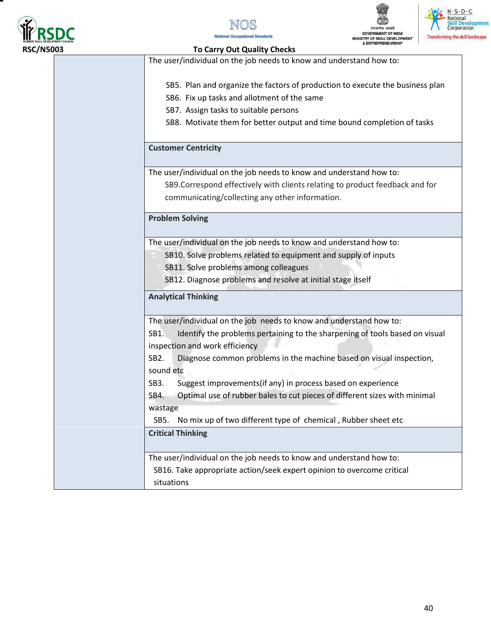







#### **RSC/N5003 To Carry Out Quality Checks**

The user/individual on the job needs to know and understand how to:

- SB5. Plan and organize the factors of production to execute the business plan
- SB6. Fix up tasks and allotment of the same
- SB7. Assign tasks to suitable persons
- SB8. Motivate them for better output and time bound completion of tasks

#### **Customer Centricity**

The user/individual on the job needs to know and understand how to:

SB9.Correspond effectively with clients relating to product feedback and for communicating/collecting any other information.

#### **Problem Solving**

The user/individual on the job needs to know and understand how to:

- SB10. Solve problems related to equipment and supply of inputs
	- SB11. Solve problems among colleagues
	- SB12. Diagnose problems and resolve at initial stage itself

#### **Analytical Thinking**

The user/individual on the job needs to know and understand how to: SB1. Identify the problems pertaining to the sharpening of tools based on visual inspection and work efficiency SB2. Diagnose common problems in the machine based on visual inspection, sound etc SB3. Suggest improvements(if any) in process based on experience SB4. Optimal use of rubber bales to cut pieces of different sizes with minimal wastage SB5. No mix up of two different type of chemical , Rubber sheet etc **Critical Thinking**  The user/individual on the job needs to know and understand how to: SB16. Take appropriate action/seek expert opinion to overcome critical

situations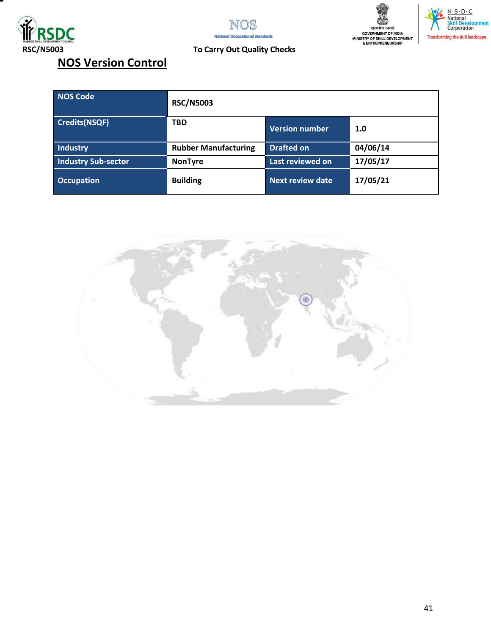







## **RSC/N5003 To Carry Out Quality Checks**

|  |  | <b>NOS Version Control</b> |  |
|--|--|----------------------------|--|
|--|--|----------------------------|--|

| NOS Code                   | <b>RSC/N5003</b>            |                         |          |
|----------------------------|-----------------------------|-------------------------|----------|
| <b>Credits(NSQF)</b>       | <b>TBD</b>                  | <b>Version number</b>   | 1.0      |
| Industry                   | <b>Rubber Manufacturing</b> | <b>Drafted on</b>       | 04/06/14 |
| <b>Industry Sub-sector</b> | <b>NonTyre</b>              | Last reviewed on        | 17/05/17 |
| <b>Occupation</b>          | <b>Building</b>             | <b>Next review date</b> | 17/05/21 |

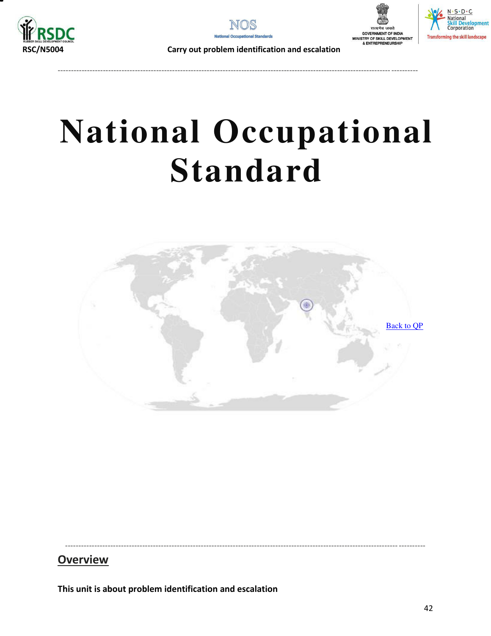



----------------------------------------------------------------------------------------------------------------------------- ----------





 **RSC/N5004 Carry out problem identification and escalation** 

# **National Occupational Standard**

<span id="page-41-0"></span>

----------------------------------------------------------------------------------------------------------------------------- ----------

## **Overview**

**This unit is about problem identification and escalation**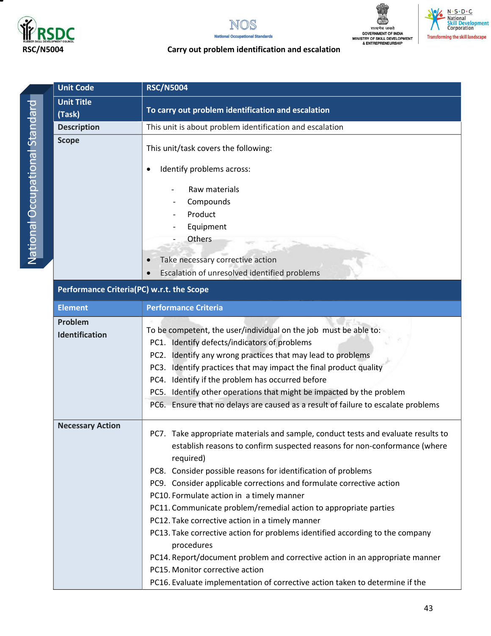

т







#### **RSC/N5004 Carry out problem identification and escalation**

|                                | <b>Unit Code</b><br><b>RSC/N5004</b>      |                                                                                                                  |  |  |
|--------------------------------|-------------------------------------------|------------------------------------------------------------------------------------------------------------------|--|--|
|                                | <b>Unit Title</b>                         |                                                                                                                  |  |  |
|                                | (Task)                                    | To carry out problem identification and escalation                                                               |  |  |
|                                | <b>Description</b>                        | This unit is about problem identification and escalation                                                         |  |  |
| National Occupational Standard | <b>Scope</b>                              | This unit/task covers the following:                                                                             |  |  |
|                                |                                           | Identify problems across:                                                                                        |  |  |
|                                |                                           | Raw materials                                                                                                    |  |  |
|                                |                                           | Compounds                                                                                                        |  |  |
|                                |                                           | Product                                                                                                          |  |  |
|                                |                                           | Equipment                                                                                                        |  |  |
|                                |                                           | Others                                                                                                           |  |  |
|                                |                                           | Take necessary corrective action                                                                                 |  |  |
|                                |                                           | Escalation of unresolved identified problems                                                                     |  |  |
|                                |                                           |                                                                                                                  |  |  |
|                                | Performance Criteria(PC) w.r.t. the Scope |                                                                                                                  |  |  |
|                                | <b>Element</b>                            | <b>Performance Criteria</b>                                                                                      |  |  |
|                                | Problem                                   |                                                                                                                  |  |  |
|                                | Identification                            | To be competent, the user/individual on the job must be able to:<br>PC1. Identify defects/indicators of problems |  |  |
|                                |                                           | PC2. Identify any wrong practices that may lead to problems                                                      |  |  |
|                                |                                           | PC3. Identify practices that may impact the final product quality                                                |  |  |
|                                |                                           | PC4. Identify if the problem has occurred before                                                                 |  |  |
|                                |                                           | PC5. Identify other operations that might be impacted by the problem                                             |  |  |
|                                |                                           | PC6. Ensure that no delays are caused as a result of failure to escalate problems                                |  |  |
|                                |                                           |                                                                                                                  |  |  |
|                                | <b>Necessary Action</b>                   | PC7. Take appropriate materials and sample, conduct tests and evaluate results to                                |  |  |
|                                |                                           | establish reasons to confirm suspected reasons for non-conformance (where                                        |  |  |
|                                |                                           | required)                                                                                                        |  |  |
|                                |                                           | PC8. Consider possible reasons for identification of problems                                                    |  |  |
|                                |                                           | PC9. Consider applicable corrections and formulate corrective action                                             |  |  |
|                                |                                           | PC10. Formulate action in a timely manner                                                                        |  |  |
|                                |                                           | PC11. Communicate problem/remedial action to appropriate parties                                                 |  |  |
|                                |                                           | PC12. Take corrective action in a timely manner                                                                  |  |  |
|                                |                                           | PC13. Take corrective action for problems identified according to the company<br>procedures                      |  |  |
|                                |                                           | PC14. Report/document problem and corrective action in an appropriate manner                                     |  |  |
|                                |                                           | PC15. Monitor corrective action                                                                                  |  |  |
|                                |                                           | PC16. Evaluate implementation of corrective action taken to determine if the                                     |  |  |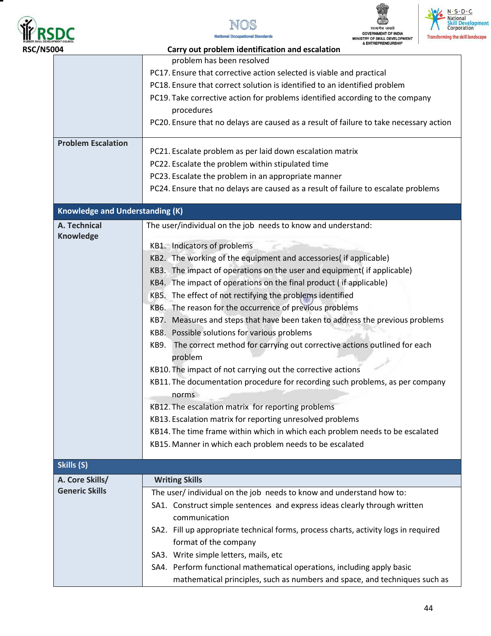







| <b>RSC/N5004</b> |                                        | & ENTREPRENEURSHIP<br>Carry out problem identification and escalation                                        |
|------------------|----------------------------------------|--------------------------------------------------------------------------------------------------------------|
|                  |                                        | problem has been resolved                                                                                    |
|                  |                                        | PC17. Ensure that corrective action selected is viable and practical                                         |
|                  |                                        | PC18. Ensure that correct solution is identified to an identified problem                                    |
|                  |                                        | PC19. Take corrective action for problems identified according to the company                                |
|                  |                                        | procedures                                                                                                   |
|                  |                                        | PC20. Ensure that no delays are caused as a result of failure to take necessary action                       |
|                  | <b>Problem Escalation</b>              | PC21. Escalate problem as per laid down escalation matrix                                                    |
|                  |                                        | PC22. Escalate the problem within stipulated time                                                            |
|                  |                                        | PC23. Escalate the problem in an appropriate manner                                                          |
|                  |                                        | PC24. Ensure that no delays are caused as a result of failure to escalate problems                           |
|                  |                                        |                                                                                                              |
|                  | <b>Knowledge and Understanding (K)</b> |                                                                                                              |
|                  | A. Technical                           | The user/individual on the job needs to know and understand:                                                 |
|                  | Knowledge                              | KB1. Indicators of problems                                                                                  |
|                  |                                        | KB2. The working of the equipment and accessories( if applicable)                                            |
|                  |                                        | KB3. The impact of operations on the user and equipment( if applicable)                                      |
|                  |                                        | KB4. The impact of operations on the final product (if applicable)                                           |
|                  |                                        | KB5. The effect of not rectifying the problems identified                                                    |
|                  |                                        | KB6. The reason for the occurrence of previous problems                                                      |
|                  |                                        | KB7. Measures and steps that have been taken to address the previous problems                                |
|                  |                                        | KB8. Possible solutions for various problems                                                                 |
|                  |                                        | The correct method for carrying out corrective actions outlined for each<br>KB9.                             |
|                  |                                        | problem                                                                                                      |
|                  |                                        | KB10. The impact of not carrying out the corrective actions                                                  |
|                  |                                        | KB11. The documentation procedure for recording such problems, as per company                                |
|                  |                                        | norms                                                                                                        |
|                  |                                        | KB12. The escalation matrix for reporting problems                                                           |
|                  |                                        | KB13. Escalation matrix for reporting unresolved problems                                                    |
|                  |                                        | KB14. The time frame within which in which each problem needs to be escalated                                |
|                  |                                        | KB15. Manner in which each problem needs to be escalated                                                     |
|                  | Skills (S)                             |                                                                                                              |
|                  | A. Core Skills/                        | <b>Writing Skills</b>                                                                                        |
|                  | <b>Generic Skills</b>                  | The user/ individual on the job needs to know and understand how to:                                         |
|                  |                                        | SA1. Construct simple sentences and express ideas clearly through written                                    |
|                  |                                        | communication                                                                                                |
|                  |                                        | SA2. Fill up appropriate technical forms, process charts, activity logs in required<br>format of the company |
|                  |                                        | SA3. Write simple letters, mails, etc                                                                        |
|                  |                                        | SA4. Perform functional mathematical operations, including apply basic                                       |
|                  |                                        | mathematical principles, such as numbers and space, and techniques such as                                   |
|                  |                                        |                                                                                                              |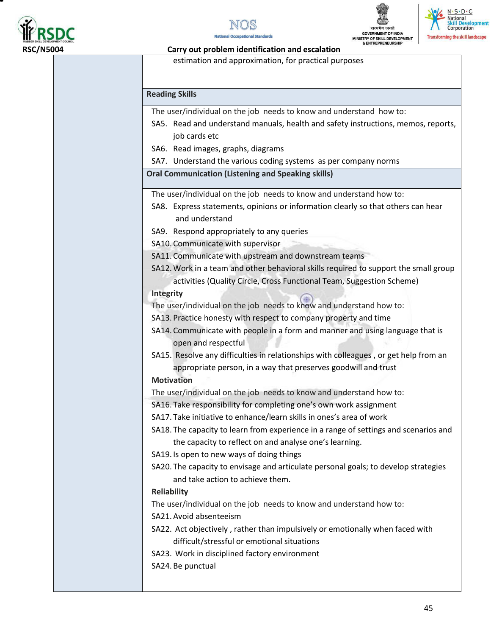







#### **RSC/N5004 Carry out problem identification and escalation**

estimation and approximation, for practical purposes

#### **Reading Skills**

The user/individual on the job needs to know and understand how to:

- SA5. Read and understand manuals, health and safety instructions, memos, reports, job cards etc
- SA6. Read images, graphs, diagrams
- SA7. Understand the various coding systems as per company norms

#### **Oral Communication (Listening and Speaking skills)**

The user/individual on the job needs to know and understand how to:

- SA8. Express statements, opinions or information clearly so that others can hear and understand
- SA9. Respond appropriately to any queries

SA10. Communicate with supervisor

- SA11. Communicate with upstream and downstream teams
- SA12.Work in a team and other behavioral skills required to support the small group activities (Quality Circle, Cross Functional Team, Suggestion Scheme)

#### **Integrity**

The user/individual on the job needs to know and understand how to:

- SA13. Practice honesty with respect to company property and time
- SA14. Communicate with people in a form and manner and using language that is open and respectful
- SA15. Resolve any difficulties in relationships with colleagues , or get help from an appropriate person, in a way that preserves goodwill and trust

#### **Motivation**

The user/individual on the job needs to know and understand how to:

- SA16. Take responsibility for completing one's own work assignment
- SA17. Take initiative to enhance/learn skills in ones's area of work

SA18. The capacity to learn from experience in a range of settings and scenarios and the capacity to reflect on and analyse one's learning.

- SA19. Is open to new ways of doing things
- SA20. The capacity to envisage and articulate personal goals; to develop strategies and take action to achieve them.

#### **Reliability**

The user/individual on the job needs to know and understand how to:

- SA21.Avoid absenteeism
- SA22. Act objectively , rather than impulsively or emotionally when faced with difficult/stressful or emotional situations
- SA23. Work in disciplined factory environment
- SA24. Be punctual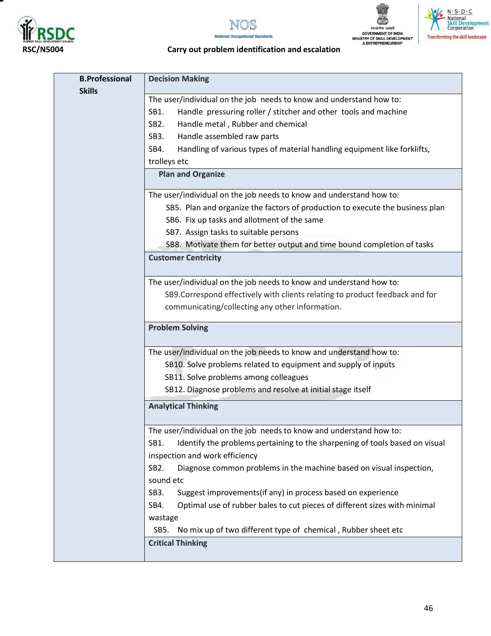

т







#### **RSC/N5004 Carry out problem identification and escalation**

| <b>B.Professional</b><br><b>Skills</b> | <b>Decision Making</b>                                                                   |
|----------------------------------------|------------------------------------------------------------------------------------------|
|                                        | The user/individual on the job needs to know and understand how to:                      |
|                                        | Handle pressuring roller / stitcher and other tools and machine<br>SB1.                  |
|                                        | Handle metal, Rubber and chemical<br>SB <sub>2</sub> .                                   |
|                                        | Handle assembled raw parts<br>SB <sub>3</sub> .                                          |
|                                        | Handling of various types of material handling equipment like forklifts,<br>SB4.         |
|                                        | trolleys etc                                                                             |
|                                        | <b>Plan and Organize</b>                                                                 |
|                                        | The user/individual on the job needs to know and understand how to:                      |
|                                        | SB5. Plan and organize the factors of production to execute the business plan            |
|                                        | SB6. Fix up tasks and allotment of the same                                              |
|                                        | SB7. Assign tasks to suitable persons                                                    |
|                                        | SB8. Motivate them for better output and time bound completion of tasks                  |
|                                        | <b>Customer Centricity</b>                                                               |
|                                        | The user/individual on the job needs to know and understand how to:                      |
|                                        | SB9. Correspond effectively with clients relating to product feedback and for            |
|                                        | communicating/collecting any other information.                                          |
|                                        | <b>Problem Solving</b>                                                                   |
|                                        | The user/individual on the job needs to know and understand how to:                      |
|                                        | SB10. Solve problems related to equipment and supply of inputs                           |
|                                        | SB11. Solve problems among colleagues                                                    |
|                                        | SB12. Diagnose problems and resolve at initial stage itself                              |
|                                        | <b>Analytical Thinking</b>                                                               |
|                                        | The user/individual on the job needs to know and understand how to:                      |
|                                        | SB1.<br>Identify the problems pertaining to the sharpening of tools based on visual      |
|                                        | inspection and work efficiency                                                           |
|                                        | Diagnose common problems in the machine based on visual inspection,<br>SB <sub>2</sub> . |
|                                        | sound etc                                                                                |
|                                        | Suggest improvements(if any) in process based on experience<br>SB <sub>3</sub> .         |
|                                        | Optimal use of rubber bales to cut pieces of different sizes with minimal<br>SB4.        |
|                                        | wastage                                                                                  |
|                                        | No mix up of two different type of chemical, Rubber sheet etc<br>SB5.                    |
|                                        | <b>Critical Thinking</b>                                                                 |
|                                        |                                                                                          |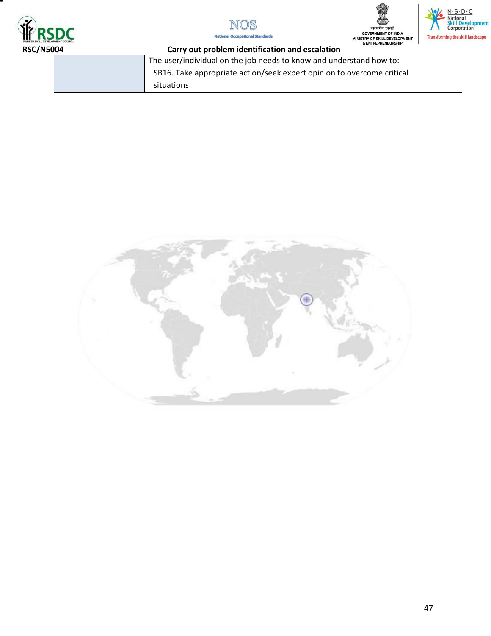







| <b>KUMBER SALL URVELUPMEN EGUINEEL</b><br><b>RSC/N5004</b><br>Carry out problem identification and escalation |  | & ENTREPRENEURSHIP                                                     |
|---------------------------------------------------------------------------------------------------------------|--|------------------------------------------------------------------------|
|                                                                                                               |  | The user/individual on the job needs to know and understand how to:    |
|                                                                                                               |  | SB16. Take appropriate action/seek expert opinion to overcome critical |
|                                                                                                               |  | situations                                                             |

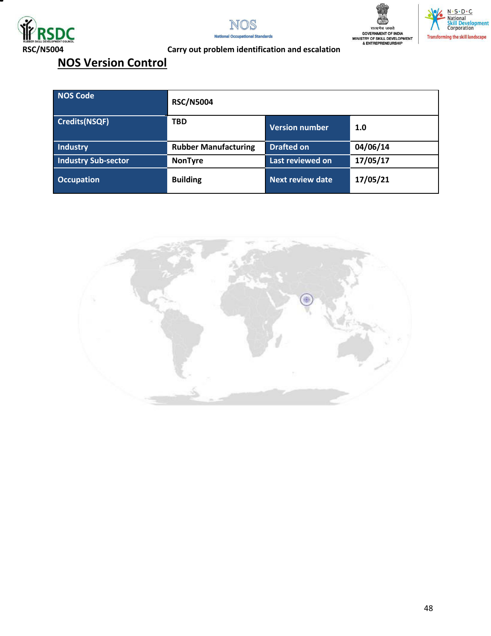







### **RSC/N5004 Carry out problem identification and escalation**

## **NOS Version Control**

| NOS Code                   | <b>RSC/N5004</b>            |                         |          |
|----------------------------|-----------------------------|-------------------------|----------|
| <b>Credits(NSQF)</b>       | <b>TBD</b>                  | Version number          | 1.0      |
| Industry                   | <b>Rubber Manufacturing</b> | <b>Drafted on</b>       | 04/06/14 |
| <b>Industry Sub-sector</b> | <b>NonTyre</b>              | Last reviewed on        | 17/05/17 |
| <b>Occupation</b>          | <b>Building</b>             | <b>Next review date</b> | 17/05/21 |

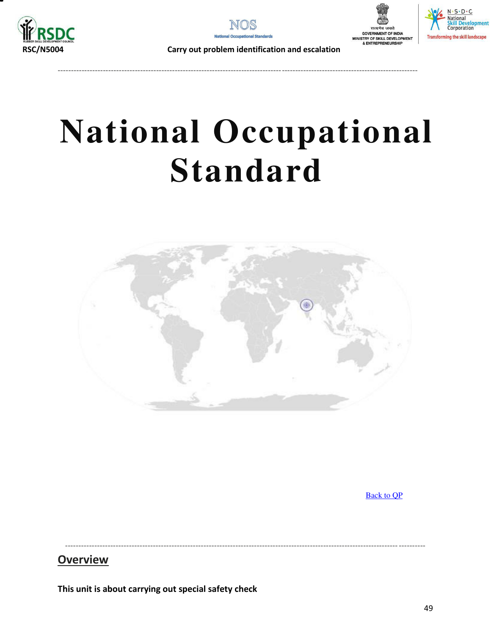



---------------------------------------------------------------------------------------------------------------------------------------





 **RSC/N5004 Carry out problem identification and escalation** 

# **National Occupational Standard**

<span id="page-48-0"></span>

[Back to QP](#page-1-0)

----------------------------------------------------------------------------------------------------------------------------- ----------

## **Overview**

**This unit is about carrying out special safety check**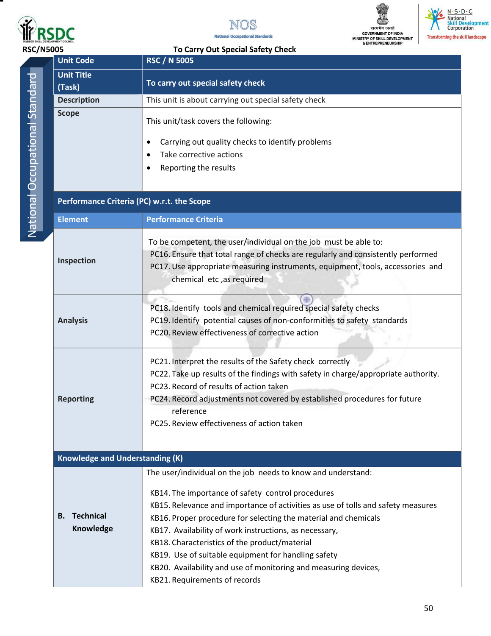

т







### **RSC/N5005 To Carry Out Special Safety Check Unit Code RSC / N 5005**

| ı |   |
|---|---|
|   |   |
|   |   |
|   |   |
|   |   |
|   |   |
|   |   |
|   |   |
|   |   |
| I |   |
|   |   |
|   |   |
| I |   |
| í |   |
|   |   |
|   |   |
|   |   |
|   |   |
|   |   |
| l |   |
|   |   |
|   |   |
| ı |   |
| l |   |
|   |   |
| C | ١ |
|   |   |
|   |   |
| I |   |
|   |   |
|   |   |
|   |   |
|   |   |
|   |   |
|   |   |
|   |   |
|   |   |

| <b>Unit Title</b><br>(Task)                | To carry out special safety check                                                                                                                                                                                                                                                                                                                                                                                                                                                                                                              |
|--------------------------------------------|------------------------------------------------------------------------------------------------------------------------------------------------------------------------------------------------------------------------------------------------------------------------------------------------------------------------------------------------------------------------------------------------------------------------------------------------------------------------------------------------------------------------------------------------|
| <b>Description</b>                         | This unit is about carrying out special safety check                                                                                                                                                                                                                                                                                                                                                                                                                                                                                           |
| <b>Scope</b>                               | This unit/task covers the following:<br>Carrying out quality checks to identify problems<br>٠<br>Take corrective actions<br>Reporting the results<br>٠                                                                                                                                                                                                                                                                                                                                                                                         |
| Performance Criteria (PC) w.r.t. the Scope |                                                                                                                                                                                                                                                                                                                                                                                                                                                                                                                                                |
| <b>Element</b>                             | <b>Performance Criteria</b>                                                                                                                                                                                                                                                                                                                                                                                                                                                                                                                    |
| Inspection                                 | To be competent, the user/individual on the job must be able to:<br>PC16. Ensure that total range of checks are regularly and consistently performed<br>PC17. Use appropriate measuring instruments, equipment, tools, accessories and<br>chemical etc, as required                                                                                                                                                                                                                                                                            |
| <b>Analysis</b>                            | PC18. Identify tools and chemical required special safety checks<br>PC19. Identify potential causes of non-conformities to safety standards<br>PC20. Review effectiveness of corrective action                                                                                                                                                                                                                                                                                                                                                 |
| <b>Reporting</b>                           | PC21. Interpret the results of the Safety check correctly<br>PC22. Take up results of the findings with safety in charge/appropriate authority.<br>PC23. Record of results of action taken<br>PC24. Record adjustments not covered by established procedures for future<br>reference<br>PC25. Review effectiveness of action taken                                                                                                                                                                                                             |
| Knowledge and Understanding (K)            |                                                                                                                                                                                                                                                                                                                                                                                                                                                                                                                                                |
| <b>Technical</b><br>В.<br>Knowledge        | The user/individual on the job needs to know and understand:<br>KB14. The importance of safety control procedures<br>KB15. Relevance and importance of activities as use of tolls and safety measures<br>KB16. Proper procedure for selecting the material and chemicals<br>KB17. Availability of work instructions, as necessary,<br>KB18. Characteristics of the product/material<br>KB19. Use of suitable equipment for handling safety<br>KB20. Availability and use of monitoring and measuring devices,<br>KB21. Requirements of records |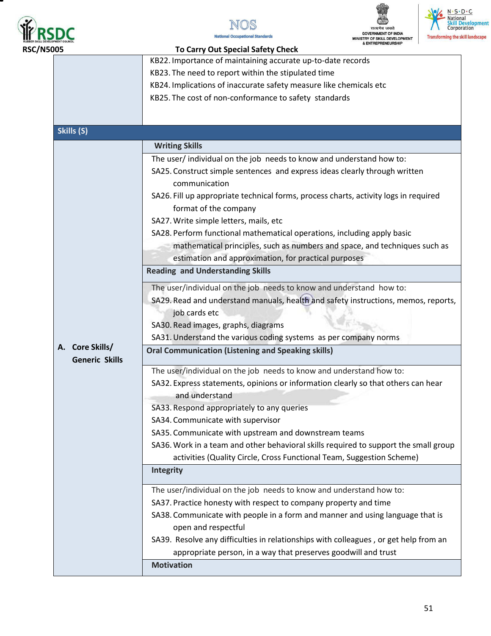







| <b>RSC/N5005</b> |                       | <b>To Carry Out Special Safety Check</b>                                             |
|------------------|-----------------------|--------------------------------------------------------------------------------------|
|                  |                       | KB22. Importance of maintaining accurate up-to-date records                          |
|                  |                       | KB23. The need to report within the stipulated time                                  |
|                  |                       | KB24. Implications of inaccurate safety measure like chemicals etc                   |
|                  |                       | KB25. The cost of non-conformance to safety standards                                |
|                  |                       |                                                                                      |
|                  |                       |                                                                                      |
|                  | Skills (S)            |                                                                                      |
|                  |                       | <b>Writing Skills</b>                                                                |
|                  |                       | The user/ individual on the job needs to know and understand how to:                 |
|                  |                       | SA25. Construct simple sentences and express ideas clearly through written           |
|                  |                       | communication                                                                        |
|                  |                       | SA26. Fill up appropriate technical forms, process charts, activity logs in required |
|                  |                       | format of the company                                                                |
|                  |                       | SA27. Write simple letters, mails, etc                                               |
|                  |                       | SA28. Perform functional mathematical operations, including apply basic              |
|                  |                       | mathematical principles, such as numbers and space, and techniques such as           |
|                  |                       | estimation and approximation, for practical purposes                                 |
|                  |                       | <b>Reading and Understanding Skills</b>                                              |
|                  |                       | The user/individual on the job needs to know and understand how to:                  |
|                  |                       | SA29. Read and understand manuals, health and safety instructions, memos, reports,   |
|                  |                       | job cards etc                                                                        |
|                  |                       | SA30. Read images, graphs, diagrams                                                  |
|                  |                       | SA31. Understand the various coding systems as per company norms                     |
|                  | A. Core Skills/       | <b>Oral Communication (Listening and Speaking skills)</b>                            |
|                  | <b>Generic Skills</b> |                                                                                      |
|                  |                       | The user/individual on the job needs to know and understand how to:                  |
|                  |                       | SA32. Express statements, opinions or information clearly so that others can hear    |
|                  |                       | and understand                                                                       |
|                  |                       | SA33. Respond appropriately to any queries                                           |
|                  |                       | SA34. Communicate with supervisor                                                    |
|                  |                       | SA35. Communicate with upstream and downstream teams                                 |
|                  |                       | SA36. Work in a team and other behavioral skills required to support the small group |
|                  |                       | activities (Quality Circle, Cross Functional Team, Suggestion Scheme)                |
|                  |                       | <b>Integrity</b>                                                                     |
|                  |                       | The user/individual on the job needs to know and understand how to:                  |
|                  |                       | SA37. Practice honesty with respect to company property and time                     |
|                  |                       | SA38. Communicate with people in a form and manner and using language that is        |
|                  |                       | open and respectful                                                                  |
|                  |                       | SA39. Resolve any difficulties in relationships with colleagues, or get help from an |
|                  |                       | appropriate person, in a way that preserves goodwill and trust                       |
|                  |                       | <b>Motivation</b>                                                                    |
|                  |                       |                                                                                      |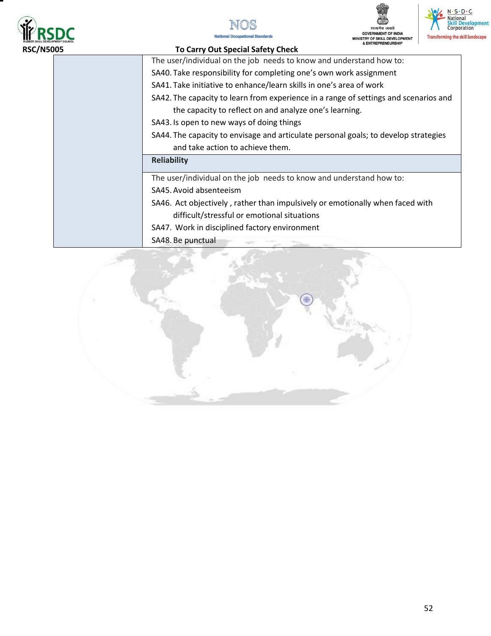







#### **RSC/N5005 To Carry Out Special Safety Check**

The user/individual on the job needs to know and understand how to:

- SA40. Take responsibility for completing one's own work assignment
- SA41. Take initiative to enhance/learn skills in one's area of work
- SA42. The capacity to learn from experience in a range of settings and scenarios and the capacity to reflect on and analyze one's learning.
- SA43. Is open to new ways of doing things
- SA44. The capacity to envisage and articulate personal goals; to develop strategies and take action to achieve them.

#### **Reliability**

The user/individual on the job needs to know and understand how to:

- SA45.Avoid absenteeism
- SA46. Act objectively , rather than impulsively or emotionally when faced with difficult/stressful or emotional situations
- SA47. Work in disciplined factory environment
- SA48. Be punctual

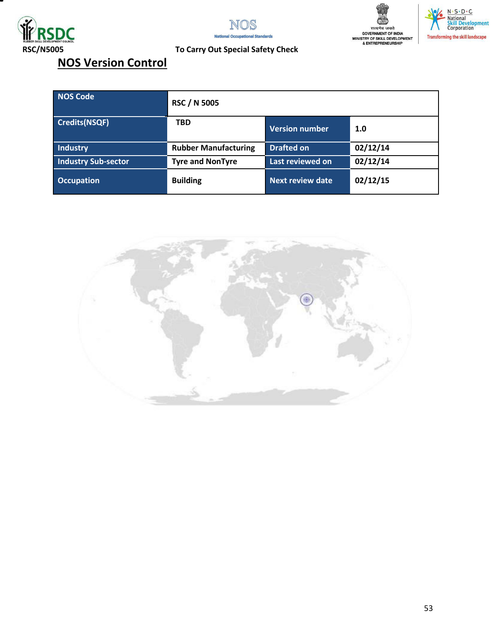







## **RSC/N5005 To Carry Out Special Safety Check**

## **NOS Version Control**

| <b>NOS Code</b>            | <b>RSC / N 5005</b>         |                         |          |
|----------------------------|-----------------------------|-------------------------|----------|
| Credits(NSQF)              | <b>TBD</b>                  | Version number          | 1.0      |
| <b>Industry</b>            | <b>Rubber Manufacturing</b> | <b>Drafted on</b>       | 02/12/14 |
| <b>Industry Sub-sector</b> | <b>Tyre and NonTyre</b>     | Last reviewed on        | 02/12/14 |
| <b>Occupation</b>          | <b>Building</b>             | <b>Next review date</b> | 02/12/15 |

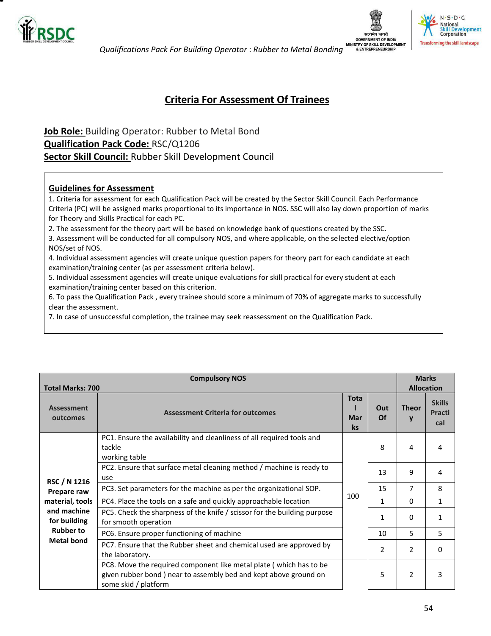

 *Qualifications Pack For Building Operator* : *Rubber to Metal Bonding*



### **Criteria For Assessment Of Trainees**

## <span id="page-53-0"></span>**Job Role:** Building Operator: Rubber to Metal Bond **Qualification Pack Code:** RSC/Q1206 **Sector Skill Council:** Rubber Skill Development Council

#### **Guidelines for Assessment**

1. Criteria for assessment for each Qualification Pack will be created by the Sector Skill Council. Each Performance Criteria (PC) will be assigned marks proportional to its importance in NOS. SSC will also lay down proportion of marks for Theory and Skills Practical for each PC.

2. The assessment for the theory part will be based on knowledge bank of questions created by the SSC.

3. Assessment will be conducted for all compulsory NOS, and where applicable, on the selected elective/option NOS/set of NOS.

4. Individual assessment agencies will create unique question papers for theory part for each candidate at each examination/training center (as per assessment criteria below).

5. Individual assessment agencies will create unique evaluations for skill practical for every student at each examination/training center based on this criterion.

6. To pass the Qualification Pack , every trainee should score a minimum of 70% of aggregate marks to successfully clear the assessment.

7. In case of unsuccessful completion, the trainee may seek reassessment on the Qualification Pack.

| <b>Compulsory NOS</b>         |                                                                                                                                                                |                                 |                  | <b>Marks</b>      |                                       |
|-------------------------------|----------------------------------------------------------------------------------------------------------------------------------------------------------------|---------------------------------|------------------|-------------------|---------------------------------------|
| <b>Total Marks: 700</b>       |                                                                                                                                                                |                                 |                  | <b>Allocation</b> |                                       |
| <b>Assessment</b><br>outcomes | <b>Assessment Criteria for outcomes</b>                                                                                                                        | <b>Tota</b><br>Mar<br><b>ks</b> | Out<br><b>Of</b> | <b>Theor</b><br>V | <b>Skills</b><br><b>Practi</b><br>cal |
|                               | PC1. Ensure the availability and cleanliness of all required tools and<br>tackle<br>working table                                                              |                                 | 8                | 4                 | 4                                     |
| RSC / N 1216                  | PC2. Ensure that surface metal cleaning method / machine is ready to<br>use                                                                                    |                                 | 13               | 9                 | 4                                     |
| Prepare raw                   | PC3. Set parameters for the machine as per the organizational SOP.                                                                                             |                                 | 15               | 7                 | 8                                     |
| material, tools               | PC4. Place the tools on a safe and quickly approachable location                                                                                               | 100                             | 1                | $\mathbf{0}$      | $\mathbf{1}$                          |
| and machine<br>for building   | PC5. Check the sharpness of the knife / scissor for the building purpose<br>for smooth operation                                                               |                                 | 1                | $\Omega$          | 1                                     |
| <b>Rubber to</b>              | PC6. Ensure proper functioning of machine                                                                                                                      |                                 | 10               | 5                 | 5                                     |
| <b>Metal bond</b>             | PC7. Ensure that the Rubber sheet and chemical used are approved by<br>the laboratory.                                                                         |                                 | 2                | 2                 | $\Omega$                              |
|                               | PC8. Move the required component like metal plate (which has to be<br>given rubber bond) near to assembly bed and kept above ground on<br>some skid / platform |                                 | 5                | $\overline{2}$    | 3                                     |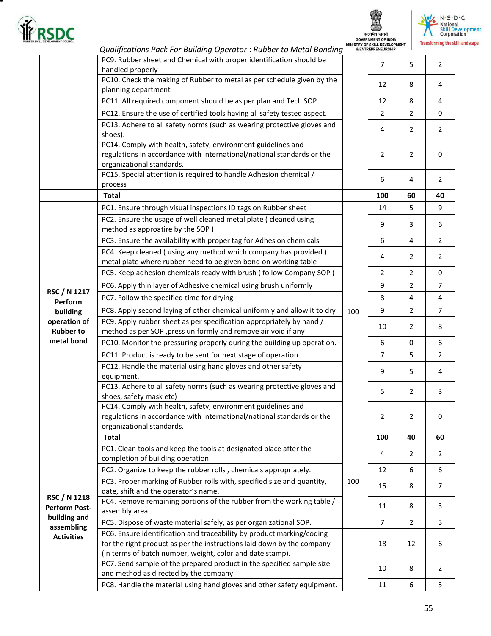

▀

सत्यमेव जयते<br>GOVERNMENT OF INDIA



|                                  | Qualifications Pack For Building Operator: Rubber to Metal Bonding                                                                                                  |     | MINISTRY OF SKILL DEVELOPMENT<br>& ENTREPRENEURSHIP |    | transforming the skil |
|----------------------------------|---------------------------------------------------------------------------------------------------------------------------------------------------------------------|-----|-----------------------------------------------------|----|-----------------------|
|                                  | PC9. Rubber sheet and Chemical with proper identification should be<br>handled properly                                                                             |     | $\overline{7}$                                      | 5  | $\overline{2}$        |
|                                  | PC10. Check the making of Rubber to metal as per schedule given by the<br>planning department                                                                       |     | 12                                                  | 8  | 4                     |
|                                  | PC11. All required component should be as per plan and Tech SOP                                                                                                     |     | 12                                                  | 8  | $\overline{4}$        |
|                                  | PC12. Ensure the use of certified tools having all safety tested aspect.                                                                                            |     | $\overline{2}$                                      | 2  | $\mathbf 0$           |
|                                  | PC13. Adhere to all safety norms (such as wearing protective gloves and                                                                                             |     |                                                     |    |                       |
|                                  | shoes).                                                                                                                                                             |     | 4                                                   | 2  | $\overline{2}$        |
|                                  | PC14. Comply with health, safety, environment guidelines and                                                                                                        |     |                                                     |    |                       |
|                                  | regulations in accordance with international/national standards or the                                                                                              |     | $\overline{2}$                                      | 2  | $\mathbf 0$           |
|                                  | organizational standards.                                                                                                                                           |     |                                                     |    |                       |
|                                  | PC15. Special attention is required to handle Adhesion chemical /<br>process                                                                                        |     | 6                                                   | 4  | 2                     |
|                                  | <b>Total</b>                                                                                                                                                        |     | 100                                                 | 60 | 40                    |
|                                  |                                                                                                                                                                     |     |                                                     |    |                       |
|                                  | PC1. Ensure through visual inspections ID tags on Rubber sheet                                                                                                      |     | 14                                                  | 5  | 9                     |
|                                  | PC2. Ensure the usage of well cleaned metal plate ( cleaned using<br>method as approatire by the SOP)                                                               |     | 9                                                   | 3  | 6                     |
|                                  | PC3. Ensure the availability with proper tag for Adhesion chemicals                                                                                                 |     | 6                                                   | 4  | $\overline{2}$        |
|                                  |                                                                                                                                                                     |     |                                                     |    |                       |
|                                  | PC4. Keep cleaned (using any method which company has provided)<br>metal plate where rubber need to be given bond on working table                                  |     | 4                                                   | 2  | $\overline{2}$        |
|                                  | PC5. Keep adhesion chemicals ready with brush (follow Company SOP)                                                                                                  |     | $\overline{2}$                                      | 2  | $\mathbf 0$           |
|                                  |                                                                                                                                                                     |     |                                                     |    |                       |
| RSC / N 1217                     | PC6. Apply thin layer of Adhesive chemical using brush uniformly                                                                                                    |     | 9                                                   | 2  | $\overline{7}$        |
| Perform                          | PC7. Follow the specified time for drying                                                                                                                           |     | 8                                                   | 4  | $\overline{4}$        |
| building                         | PC8. Apply second laying of other chemical uniformly and allow it to dry                                                                                            | 100 | 9                                                   | 2  | $\overline{7}$        |
| operation of<br><b>Rubber to</b> | PC9. Apply rubber sheet as per specification appropriately by hand /<br>method as per SOP, press uniformly and remove air void if any                               |     | 10                                                  | 2  | 8                     |
| metal bond                       | PC10. Monitor the pressuring properly during the building up operation.                                                                                             |     | 6                                                   | 0  | 6                     |
|                                  | PC11. Product is ready to be sent for next stage of operation                                                                                                       |     | $\overline{7}$                                      | 5  | $\overline{2}$        |
|                                  | PC12. Handle the material using hand gloves and other safety<br>equipment.                                                                                          |     | 9                                                   | 5  | 4                     |
|                                  | PC13. Adhere to all safety norms (such as wearing protective gloves and<br>shoes, safety mask etc)                                                                  |     | 5                                                   | 2  | 3                     |
|                                  | PC14. Comply with health, safety, environment guidelines and<br>regulations in accordance with international/national standards or the<br>organizational standards. |     | 2                                                   | 2  | $\mathbf 0$           |
|                                  | <b>Total</b>                                                                                                                                                        |     | 100                                                 | 40 | 60                    |
|                                  | PC1. Clean tools and keep the tools at designated place after the<br>completion of building operation.                                                              |     | 4                                                   | 2  | 2                     |
|                                  | PC2. Organize to keep the rubber rolls, chemicals appropriately.                                                                                                    |     | 12                                                  | 6  | 6                     |
|                                  | PC3. Proper marking of Rubber rolls with, specified size and quantity,<br>date, shift and the operator's name.                                                      | 100 | 15                                                  | 8  | $\overline{7}$        |
| RSC / N 1218                     | PC4. Remove remaining portions of the rubber from the working table /                                                                                               |     |                                                     |    |                       |
| <b>Perform Post-</b>             | assembly area                                                                                                                                                       |     | 11                                                  | 8  | 3                     |
| building and                     | PC5. Dispose of waste material safely, as per organizational SOP.                                                                                                   |     | $\overline{7}$                                      | 2  | 5                     |
| assembling                       | PC6. Ensure identification and traceability by product marking/coding                                                                                               |     |                                                     |    |                       |
| <b>Activities</b>                | for the right product as per the instructions laid down by the company<br>(in terms of batch number, weight, color and date stamp).                                 |     | 18                                                  | 12 | 6                     |
|                                  | PC7. Send sample of the prepared product in the specified sample size<br>and method as directed by the company                                                      |     | 10                                                  | 8  | $\overline{2}$        |
|                                  | PC8. Handle the material using hand gloves and other safety equipment.                                                                                              |     | 11                                                  | 6  | 5                     |
|                                  |                                                                                                                                                                     |     |                                                     |    |                       |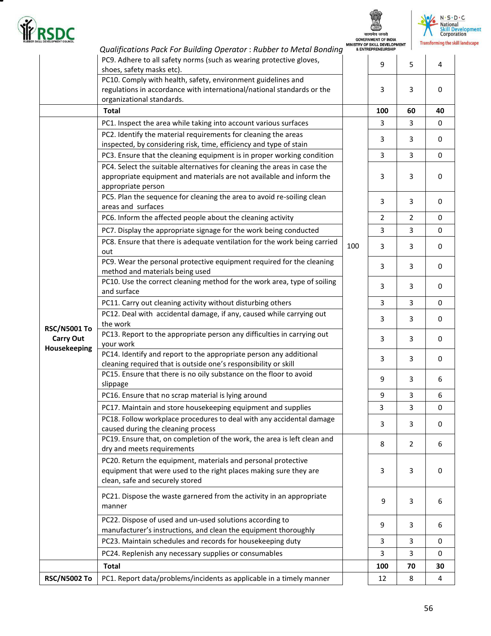

т

सत्यमेव जयते<br>GOVERNMENT OF INDIA



|                                                         | Qualifications Pack For Building Operator: Rubber to Metal Bonding                                                                                                     |     | MINISTRY OF SKILL DEVELOPMENT<br>& ENTREPRENEURSHIP |                |             |
|---------------------------------------------------------|------------------------------------------------------------------------------------------------------------------------------------------------------------------------|-----|-----------------------------------------------------|----------------|-------------|
|                                                         | PC9. Adhere to all safety norms (such as wearing protective gloves,<br>shoes, safety masks etc).                                                                       |     | 9                                                   | 5              | 4           |
|                                                         | PC10. Comply with health, safety, environment guidelines and<br>regulations in accordance with international/national standards or the<br>organizational standards.    |     | 3                                                   | 3              | $\mathbf 0$ |
|                                                         | <b>Total</b>                                                                                                                                                           |     | 100                                                 | 60             | 40          |
|                                                         | PC1. Inspect the area while taking into account various surfaces                                                                                                       |     | 3                                                   | 3              | 0           |
|                                                         | PC2. Identify the material requirements for cleaning the areas                                                                                                         |     |                                                     |                |             |
|                                                         | inspected, by considering risk, time, efficiency and type of stain                                                                                                     |     | 3                                                   | 3              | 0           |
|                                                         | PC3. Ensure that the cleaning equipment is in proper working condition                                                                                                 | 100 | $\overline{3}$                                      | $\overline{3}$ | 0           |
|                                                         | PC4. Select the suitable alternatives for cleaning the areas in case the<br>appropriate equipment and materials are not available and inform the<br>appropriate person |     | 3                                                   | 3              | $\mathbf 0$ |
|                                                         | PC5. Plan the sequence for cleaning the area to avoid re-soiling clean<br>areas and surfaces                                                                           |     | 3                                                   | 3              | 0           |
|                                                         | PC6. Inform the affected people about the cleaning activity                                                                                                            |     | $\overline{2}$                                      | $\overline{2}$ | $\mathbf 0$ |
|                                                         | PC7. Display the appropriate signage for the work being conducted                                                                                                      |     | 3                                                   | 3              | 0           |
|                                                         | PC8. Ensure that there is adequate ventilation for the work being carried<br>out                                                                                       |     | 3                                                   | 3              | $\mathbf 0$ |
|                                                         | PC9. Wear the personal protective equipment required for the cleaning<br>method and materials being used                                                               |     | 3                                                   | 3              | 0           |
|                                                         | PC10. Use the correct cleaning method for the work area, type of soiling<br>and surface                                                                                |     | 3                                                   | 3              | 0           |
|                                                         | PC11. Carry out cleaning activity without disturbing others                                                                                                            |     | 3                                                   | 3              | $\mathbf 0$ |
| <b>RSC/N5001 To</b><br><b>Carry Out</b><br>Housekeeping | PC12. Deal with accidental damage, if any, caused while carrying out<br>the work                                                                                       |     | 3                                                   | 3              | 0           |
|                                                         | PC13. Report to the appropriate person any difficulties in carrying out<br>your work                                                                                   |     | 3                                                   | 3              | 0           |
|                                                         | PC14. Identify and report to the appropriate person any additional<br>cleaning required that is outside one's responsibility or skill                                  |     | 3                                                   | 3              | 0           |
|                                                         | PC15. Ensure that there is no oily substance on the floor to avoid<br>slippage                                                                                         |     | 9                                                   | 3              | 6           |
|                                                         | PC16. Ensure that no scrap material is lying around                                                                                                                    |     | 9                                                   | 3              | 6           |
|                                                         | PC17. Maintain and store housekeeping equipment and supplies                                                                                                           |     | 3                                                   | 3              | 0           |
|                                                         | PC18. Follow workplace procedures to deal with any accidental damage<br>caused during the cleaning process                                                             |     | 3                                                   | 3              | 0           |
|                                                         | PC19. Ensure that, on completion of the work, the area is left clean and<br>dry and meets requirements                                                                 |     | 8                                                   | $\overline{2}$ | 6           |
|                                                         | PC20. Return the equipment, materials and personal protective<br>equipment that were used to the right places making sure they are<br>clean, safe and securely stored  |     | 3                                                   | 3              | 0           |
|                                                         | PC21. Dispose the waste garnered from the activity in an appropriate<br>manner                                                                                         |     | 9                                                   | 3              | 6           |
|                                                         | PC22. Dispose of used and un-used solutions according to<br>manufacturer's instructions, and clean the equipment thoroughly                                            |     | 9                                                   | 3              | 6           |
|                                                         | PC23. Maintain schedules and records for housekeeping duty                                                                                                             |     | 3                                                   | 3              | 0           |
|                                                         | PC24. Replenish any necessary supplies or consumables                                                                                                                  |     | 3                                                   | 3              | 0           |
|                                                         | <b>Total</b>                                                                                                                                                           |     | 100                                                 | 70             | 30          |
| <b>RSC/N5002 To</b>                                     | PC1. Report data/problems/incidents as applicable in a timely manner                                                                                                   |     | 12                                                  | 8              | 4           |
|                                                         |                                                                                                                                                                        |     |                                                     |                |             |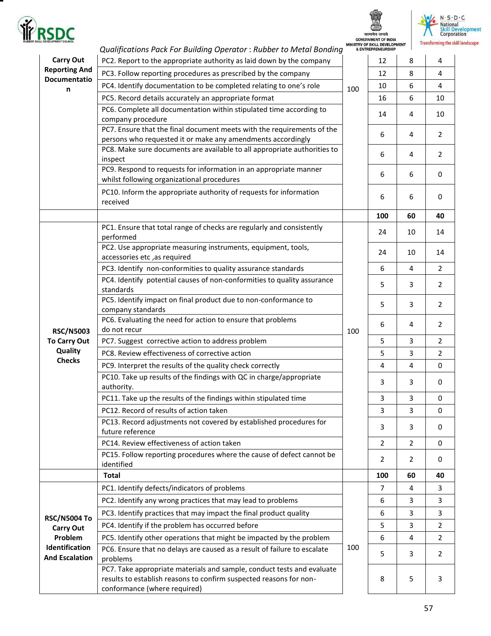

۳

## सत्यमेव जयते<br>GOVERNMENT OF INDIA<br>ISTRY OF SKILL DEVELOPMENT

MIP



|                                                    | Qualifications Pack For Building Operator: Rubber to Metal Bonding                                                                                                           |     | <b>&amp; ENTREPRENEURSHIP</b> |                         |                |
|----------------------------------------------------|------------------------------------------------------------------------------------------------------------------------------------------------------------------------------|-----|-------------------------------|-------------------------|----------------|
| <b>Carry Out</b>                                   | PC2. Report to the appropriate authority as laid down by the company                                                                                                         |     | 12                            | 8                       | 4              |
| <b>Reporting And</b>                               | PC3. Follow reporting procedures as prescribed by the company                                                                                                                | 100 | 12                            | 8                       | 4              |
| Documentatio<br>n                                  | PC4. Identify documentation to be completed relating to one's role                                                                                                           |     | 10                            | 6                       | 4              |
|                                                    | PC5. Record details accurately an appropriate format                                                                                                                         |     | 16                            | 6                       | 10             |
|                                                    | PC6. Complete all documentation within stipulated time according to<br>company procedure                                                                                     |     | 14                            | 4                       | 10             |
|                                                    | PC7. Ensure that the final document meets with the requirements of the<br>persons who requested it or make any amendments accordingly                                        |     | 6                             | 4                       | $\overline{2}$ |
|                                                    | PC8. Make sure documents are available to all appropriate authorities to<br>inspect                                                                                          |     | 6                             | 4                       | $\overline{2}$ |
|                                                    | PC9. Respond to requests for information in an appropriate manner<br>whilst following organizational procedures                                                              |     | 6                             | 6                       | $\mathbf 0$    |
|                                                    | PC10. Inform the appropriate authority of requests for information<br>received                                                                                               |     | 6                             | 6                       | 0              |
|                                                    |                                                                                                                                                                              |     | 100                           | 60                      | 40             |
|                                                    | PC1. Ensure that total range of checks are regularly and consistently<br>performed                                                                                           |     | 24                            | 10                      | 14             |
|                                                    | PC2. Use appropriate measuring instruments, equipment, tools,<br>accessories etc, as required                                                                                |     | 24                            | 10                      | 14             |
|                                                    | PC3. Identify non-conformities to quality assurance standards                                                                                                                |     | 6                             | 4                       | 2              |
| <b>RSC/N5003</b><br><b>To Carry Out</b>            | PC4. Identify potential causes of non-conformities to quality assurance<br>standards                                                                                         | 100 | 5                             | 3                       | $\overline{2}$ |
|                                                    | PC5. Identify impact on final product due to non-conformance to<br>company standards                                                                                         |     | 5                             | 3                       | $\overline{2}$ |
|                                                    | PC6. Evaluating the need for action to ensure that problems<br>do not recur                                                                                                  |     | 6                             | 4                       | $\overline{2}$ |
|                                                    | PC7. Suggest corrective action to address problem                                                                                                                            |     | 5                             | 3                       | $\overline{2}$ |
| Quality                                            | PC8. Review effectiveness of corrective action                                                                                                                               |     | 5                             | 3                       | $\overline{2}$ |
| <b>Checks</b>                                      | PC9. Interpret the results of the quality check correctly                                                                                                                    |     | 4                             | $\overline{\mathbf{4}}$ | 0              |
|                                                    | PC10. Take up results of the findings with QC in charge/appropriate<br>authority.                                                                                            |     | 3                             | 3                       | 0              |
|                                                    | PC11. Take up the results of the findings within stipulated time                                                                                                             |     | 3                             | 3                       | 0              |
|                                                    | PC12. Record of results of action taken                                                                                                                                      |     | 3                             | 3                       | 0              |
|                                                    | PC13. Record adjustments not covered by established procedures for<br>future reference                                                                                       |     | 3                             | 3                       | 0              |
|                                                    | PC14. Review effectiveness of action taken                                                                                                                                   |     | $\overline{2}$                | $\overline{2}$          | $\mathbf 0$    |
|                                                    | PC15. Follow reporting procedures where the cause of defect cannot be<br>identified                                                                                          |     | 2                             | $\overline{2}$          | 0              |
|                                                    | <b>Total</b>                                                                                                                                                                 |     | 100                           | 60                      | 40             |
|                                                    | PC1. Identify defects/indicators of problems                                                                                                                                 |     | 7                             | 4                       | 3              |
|                                                    | PC2. Identify any wrong practices that may lead to problems                                                                                                                  |     | 6                             | 3                       | 3              |
| <b>RSC/N5004 To</b><br><b>Carry Out</b><br>Problem | PC3. Identify practices that may impact the final product quality                                                                                                            |     | 6                             | 3                       | 3              |
|                                                    | PC4. Identify if the problem has occurred before                                                                                                                             |     | 5                             | 3                       | $\overline{2}$ |
|                                                    | PC5. Identify other operations that might be impacted by the problem                                                                                                         |     | 6                             | 4                       | $\overline{2}$ |
| Identification                                     | PC6. Ensure that no delays are caused as a result of failure to escalate                                                                                                     | 100 |                               |                         |                |
| <b>And Escalation</b>                              | problems                                                                                                                                                                     |     | 5                             | 3                       | $\overline{2}$ |
|                                                    | PC7. Take appropriate materials and sample, conduct tests and evaluate<br>results to establish reasons to confirm suspected reasons for non-<br>conformance (where required) |     | 8                             | 5                       | 3              |